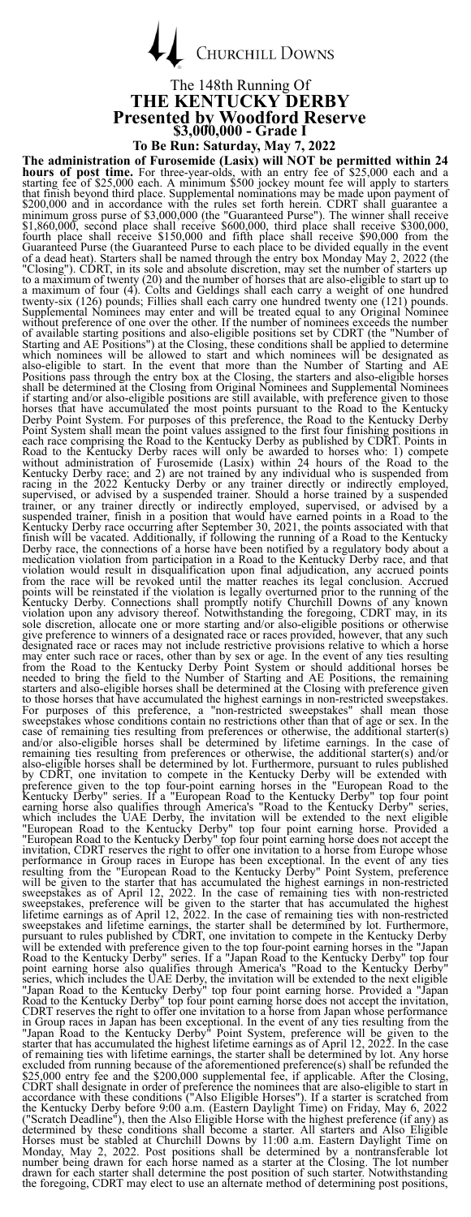**CHURCHILL DOWNS** 

# The 148th Running Of<br>THE KENTUCKY DERBY **THE KENTUCKY DERBY Presented by Woodford Reserve \$3,000,000 - Grade I**

**To Be Run: Saturday, May 7, 2022** The maintain reduced by the presentine of solving the state of solving the state of the state of the state of the state of the state of the state of the state of the state of the state of the state of the state of the sta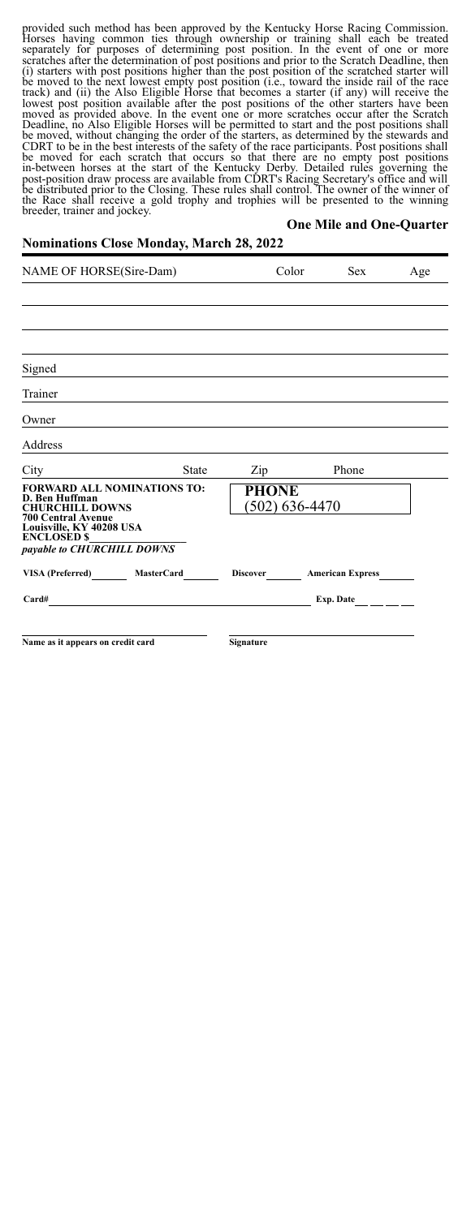provided such method has been approved by the Kentucky Horse Racing Commission.<br>Horses having common ties through ownership or training shall each be treated<br>separately for purposes of determining post position. In the eve be moved for each scratch that occurs so that there are no empty post positions<br>in-between horses at the start of the Kentucky Derby. Detailed rules governing the<br>post-position draw process are available from CDRT's Racing

#### **One Mile and One-Quarter**

### **Nominations Close Monday, March 28, 2022**

| NAME OF HORSE(Sire-Dam)                                                                                                                 |              | Color                              | <b>Sex</b>              | Age |
|-----------------------------------------------------------------------------------------------------------------------------------------|--------------|------------------------------------|-------------------------|-----|
|                                                                                                                                         |              |                                    |                         |     |
|                                                                                                                                         |              |                                    |                         |     |
|                                                                                                                                         |              |                                    |                         |     |
| Signed                                                                                                                                  |              |                                    |                         |     |
| Trainer                                                                                                                                 |              |                                    |                         |     |
| Owner                                                                                                                                   |              |                                    |                         |     |
| Address                                                                                                                                 |              |                                    |                         |     |
| City                                                                                                                                    | <b>State</b> | Zip                                | Phone                   |     |
| <b>FORWARD ALL NOMINATIONS TO:</b><br>D. Ben Huffman<br><b>CHURCHILL DOWNS</b><br><b>700 Central Avenue</b><br>Louisville, KY 40208 USA |              | <b>PHONE</b><br>$(502) 636 - 4470$ |                         |     |
| <b>ENCLOSED \$</b><br>payable to CHURCHILL DOWNS                                                                                        |              |                                    |                         |     |
| VISA (Preferred) MasterCard                                                                                                             |              | <b>Discover</b>                    | <b>American Express</b> |     |
| Card#                                                                                                                                   |              |                                    | Exp. Date               |     |
|                                                                                                                                         |              |                                    |                         |     |
| Name as it appears on credit card                                                                                                       |              | Signature                          |                         |     |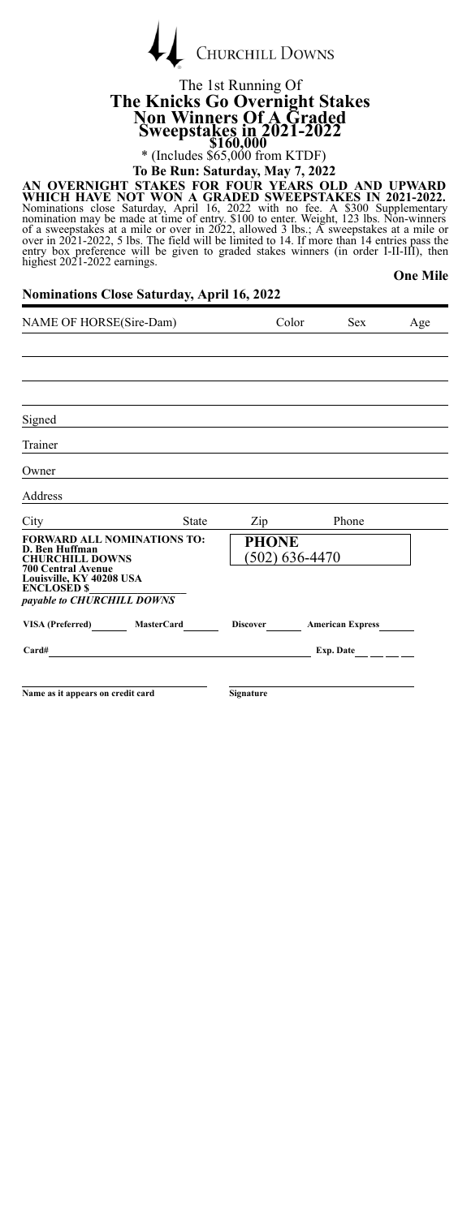|  | CHURCHILL DOWNS |
|--|-----------------|
|  |                 |

## The 1st Running Of **The Knicks Go Overnight Stakes Non Winners Of A Graded Sweepstakes in 2021-2022**<br>\$160,000<br>\* (Includes \$65,000 from KTDF)

**To Be Run: Saturday, May 7, 2022**

AN OVERNIGHT STAKES FOR FOUR YEARS OLD AND UPWARD<br>WHICH HAVE NOT WON A GRADED SWEEPSTAKES IN 2021-2022.<br>Nominations close Saturday, April 16, 2022 with no fee. A \$300 Supplementary<br>nomination may be made at time of entry.

**One Mile**

| <b>Nominations Close Saturday, April 16, 2022</b> |  |  |  |  |  |
|---------------------------------------------------|--|--|--|--|--|
|---------------------------------------------------|--|--|--|--|--|

| NAME OF HORSE(Sire-Dam)                                                                                   |              | Color          | <b>Sex</b>                | Age              |  |
|-----------------------------------------------------------------------------------------------------------|--------------|----------------|---------------------------|------------------|--|
|                                                                                                           |              |                |                           |                  |  |
|                                                                                                           |              |                |                           |                  |  |
|                                                                                                           |              |                |                           |                  |  |
| Signed                                                                                                    |              |                |                           |                  |  |
| Trainer                                                                                                   |              |                |                           |                  |  |
| Owner                                                                                                     |              |                |                           |                  |  |
| Address                                                                                                   |              |                |                           |                  |  |
| City                                                                                                      | <b>State</b> | $\mathsf{Zip}$ |                           | Phone            |  |
| <b>FORWARD ALL NOMINATIONS TO:</b><br>D. Ben Huffman<br><b>CHURCHILL DOWNS</b>                            |              | <b>PHONE</b>   | $(502)$ 636-4470          |                  |  |
| <b>700 Central Avenue</b><br>Louisville, KY 40208 USA<br><b>ENCLOSED \$</b><br>payable to CHURCHILL DOWNS |              |                |                           |                  |  |
| VISA (Preferred) MasterCard                                                                               |              |                | Discover American Express |                  |  |
| Card#                                                                                                     |              |                |                           | Exp. Date $\_\_$ |  |
|                                                                                                           |              |                |                           |                  |  |
| Name as it appears on credit card                                                                         |              | Signature      |                           |                  |  |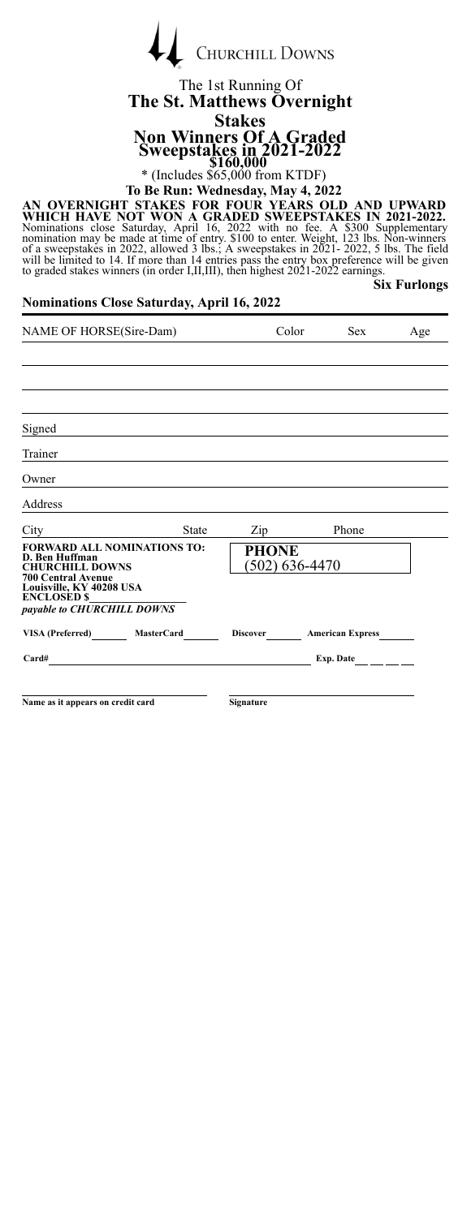

### The 1st Running Of **The St. Matthews Overnight Stakes Non Winners Of A Graded Sweepstakes in 2021-2022**<br>\$160,000<br>\* (Includes \$65,000 from KTDF)

**To Be Run: Wednesday, May 4, 2022**

AN OVERNIGHT STAKES FOR FOUR YEARS OLD AND UPWARD<br>WHICH HAVE NOT WON A GRADED SWEEPSTAKES IN 2021-2022.<br>Nominations close Saturday, April 16, 2022 with no fee. A \$300 Supplementary<br>nomination may be made at time of entry.

**Six Furlongs**

| NAME OF HORSE(Sire-Dam)                                                                                   |              | Color                          | <b>Sex</b> | Age                                   |  |
|-----------------------------------------------------------------------------------------------------------|--------------|--------------------------------|------------|---------------------------------------|--|
|                                                                                                           |              |                                |            |                                       |  |
|                                                                                                           |              |                                |            |                                       |  |
|                                                                                                           |              |                                |            |                                       |  |
| Signed                                                                                                    |              |                                |            |                                       |  |
| Trainer                                                                                                   |              |                                |            |                                       |  |
| Owner                                                                                                     |              |                                |            |                                       |  |
| Address                                                                                                   |              |                                |            |                                       |  |
| City                                                                                                      | <b>State</b> | Zip                            |            | Phone                                 |  |
| <b>FORWARD ALL NOMINATIONS TO:</b><br>D. Ben Huffman<br><b>CHURCHILL DOWNS</b>                            |              | <b>PHONE</b><br>(502) 636-4470 |            |                                       |  |
| <b>700 Central Avenue</b><br>Louisville, KY 40208 USA<br><b>ENCLOSED \$</b><br>payable to CHURCHILL DOWNS |              |                                |            |                                       |  |
| VISA (Preferred) MasterCard                                                                               |              | <b>Discover</b>                |            | <b>American Express</b>               |  |
| Card#<br><u> 1989 - Andrea Andrew Maria (h. 1989).</u>                                                    |              |                                |            | Exp. Date $\qquad \qquad \_ \_ \_ \_$ |  |
|                                                                                                           |              |                                |            |                                       |  |
| Name as it appears on credit card                                                                         |              | <b>Signature</b>               |            |                                       |  |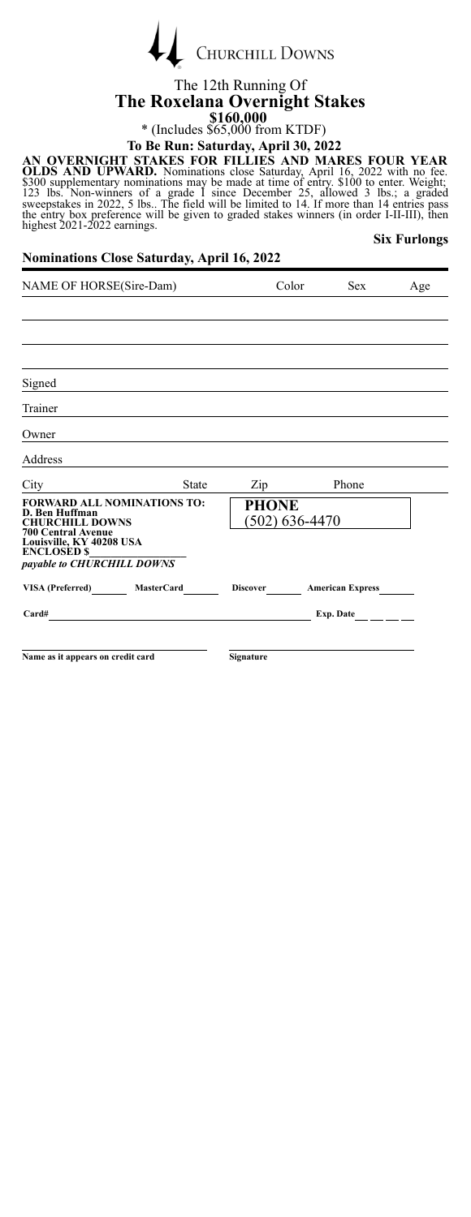|  | <b>CHURCHILL DOWNS</b> |
|--|------------------------|
|  |                        |

### The 12th Running Of **The Roxelana Overnight Stakes \$160,000**<br>
\* (Includes \$65,000 from KTDF)

# **To Be Run: Saturday, April 30, 2022**

AN OVERNIGHT STAKES FOR FILLIES AND MARES FOUR YEAR<br>OLDS AND UPWARD. Nominations close Saturday, April 16, 2022 with no fee.<br>5300 supplementary nominations may be made at time of entry. \$100 to enter. Weight;<br>123 lbs. Non-**Six Furlongs**

| NAME OF HORSE(Sire-Dam)                                                                                   |              | Color                            | <b>Sex</b> | Age                     |  |
|-----------------------------------------------------------------------------------------------------------|--------------|----------------------------------|------------|-------------------------|--|
|                                                                                                           |              |                                  |            |                         |  |
|                                                                                                           |              |                                  |            |                         |  |
|                                                                                                           |              |                                  |            |                         |  |
| Signed                                                                                                    |              |                                  |            |                         |  |
| Trainer                                                                                                   |              |                                  |            |                         |  |
| Owner                                                                                                     |              |                                  |            |                         |  |
| Address                                                                                                   |              |                                  |            |                         |  |
| City                                                                                                      | <b>State</b> | Zip                              |            | Phone                   |  |
| <b>FORWARD ALL NOMINATIONS TO:</b><br>D. Ben Huffman<br><b>CHURCHILL DOWNS</b>                            |              | <b>PHONE</b><br>$(502)$ 636-4470 |            |                         |  |
| <b>700 Central Avenue</b><br>Louisville, KY 40208 USA<br><b>ENCLOSED \$</b><br>payable to CHURCHILL DOWNS |              |                                  |            |                         |  |
| VISA (Preferred) MasterCard                                                                               |              | <b>Discover</b>                  |            | <b>American Express</b> |  |
| Card#<br><u> 1989 - Johann Stein, mars an deus Amerikaansk kommunister (</u>                              |              |                                  |            | Exp. Date $\_\_$        |  |
|                                                                                                           |              |                                  |            |                         |  |
| Name as it appears on credit card                                                                         |              | <b>Signature</b>                 |            |                         |  |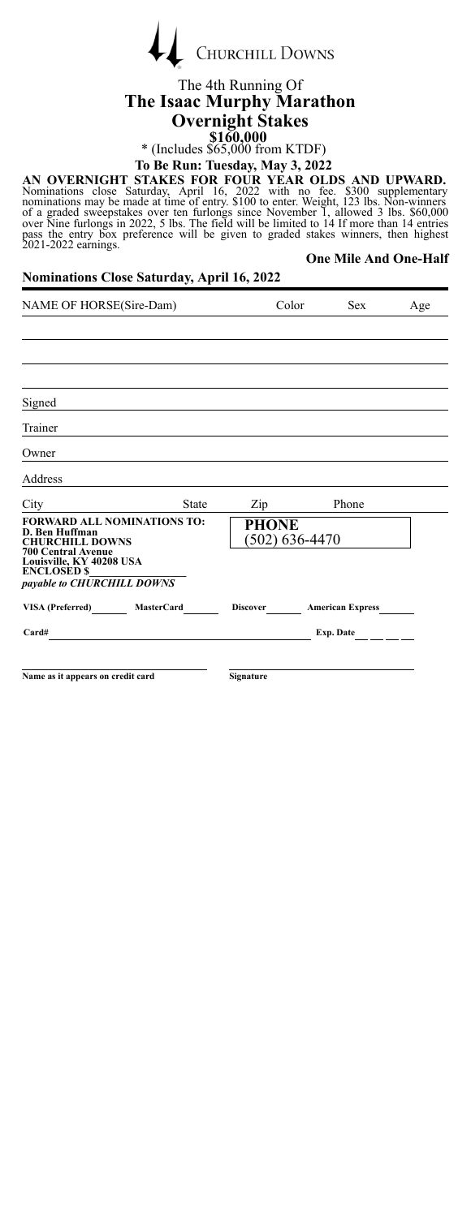| <b>CHURCHILL DOWNS</b> |
|------------------------|

### The 4th Running Of **The Isaac Murphy Marathon Overnight Stakes \$160,000**<br>
\* (Includes \$65,000 from KTDF)

**To Be Run: Tuesday, May 3, 2022**

AN OVERNIGHT STAKES FOR FOUR YEAR OLDS AND UPWARD.<br>Nominations close Saturday, April 16, 2022 with no fee. \$300 supplementary<br>nominations may be made at time of entry. \$100 to enter. Weight, 123 lbs. Non-winners<br>of a grade pass the entry box preference will be given to graded stakes winners, then highest 2021-2022 earnings. **One Mile And One-Half**

| NAME OF HORSE(Sire-Dam)                                                        |              | Color                            | <b>Sex</b>              | Age |
|--------------------------------------------------------------------------------|--------------|----------------------------------|-------------------------|-----|
|                                                                                |              |                                  |                         |     |
|                                                                                |              |                                  |                         |     |
|                                                                                |              |                                  |                         |     |
| Signed                                                                         |              |                                  |                         |     |
| Trainer                                                                        |              |                                  |                         |     |
| Owner                                                                          |              |                                  |                         |     |
| Address                                                                        |              |                                  |                         |     |
| City                                                                           | <b>State</b> | Zip                              | Phone                   |     |
| <b>FORWARD ALL NOMINATIONS TO:</b><br>D. Ben Huffman<br><b>CHURCHILL DOWNS</b> |              | <b>PHONE</b><br>$(502)$ 636-4470 |                         |     |
| <b>700 Central Avenue</b><br>Louisville, KY 40208 USA<br><b>ENCLOSED \$</b>    |              |                                  |                         |     |
| payable to CHURCHILL DOWNS                                                     |              |                                  |                         |     |
| VISA (Preferred) MasterCard                                                    |              | <b>Discover</b>                  | <b>American Express</b> |     |
| Card#                                                                          |              |                                  | $Exp.$ Date $\_\_$      |     |
|                                                                                |              |                                  |                         |     |
| Name as it appears on credit card                                              |              | Signature                        |                         |     |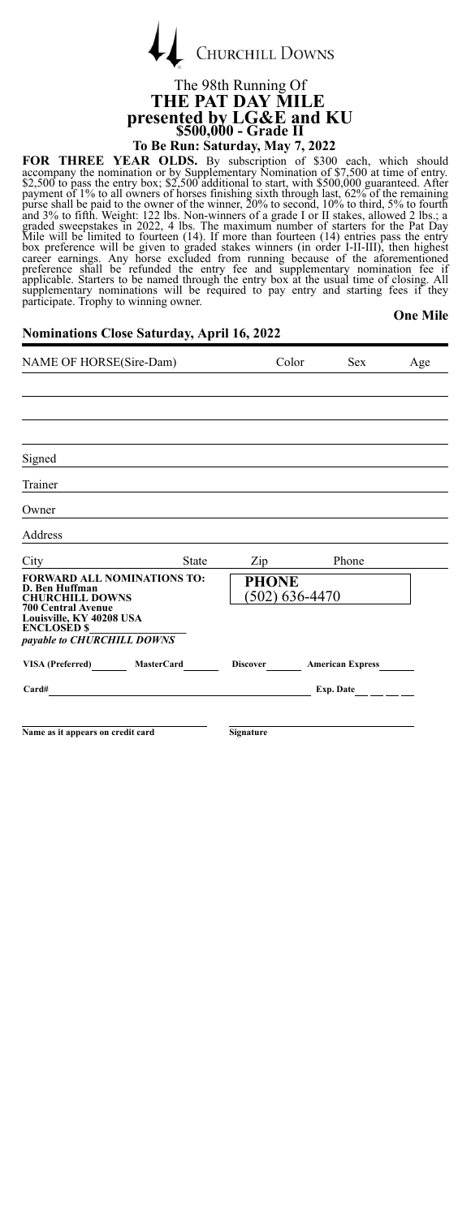

### The 98th Running Of **THE PAT DAY MILE presented by LG&E and KU \$500,000 - Grade II To Be Run: Saturday, May 7, 2022**

**FOR THREE YEAR OLDS.** By subscription of \$300 each, which should accompany the nomination of \$7,500 at time of entry. Sapplementary Nomination of \$7,500 at time of entry. Sapplement of 1% to all owners of horses finishing

**One Mile**

| NAME OF HORSE(Sire-Dam)                                                                                   |              | Color                     | Sex              | Age              |  |
|-----------------------------------------------------------------------------------------------------------|--------------|---------------------------|------------------|------------------|--|
|                                                                                                           |              |                           |                  |                  |  |
|                                                                                                           |              |                           |                  |                  |  |
|                                                                                                           |              |                           |                  |                  |  |
| Signed                                                                                                    |              |                           |                  |                  |  |
| Trainer                                                                                                   |              |                           |                  |                  |  |
| Owner                                                                                                     |              |                           |                  |                  |  |
| Address                                                                                                   |              |                           |                  |                  |  |
| City                                                                                                      | <b>State</b> | Zip                       |                  | Phone            |  |
| <b>FORWARD ALL NOMINATIONS TO:</b><br>D. Ben Huffman<br><b>CHURCHILL DOWNS</b>                            |              | <b>PHONE</b>              | $(502)$ 636-4470 |                  |  |
| <b>700 Central Avenue</b><br>Louisville, KY 40208 USA<br><b>ENCLOSED \$</b><br>payable to CHURCHILL DOWNS |              |                           |                  |                  |  |
| VISA (Preferred) MasterCard                                                                               |              | Discover American Express |                  |                  |  |
| Card#                                                                                                     |              |                           |                  | Exp. Date $\_\_$ |  |
|                                                                                                           |              |                           |                  |                  |  |
| Name as it appears on credit card                                                                         |              | <b>Signature</b>          |                  |                  |  |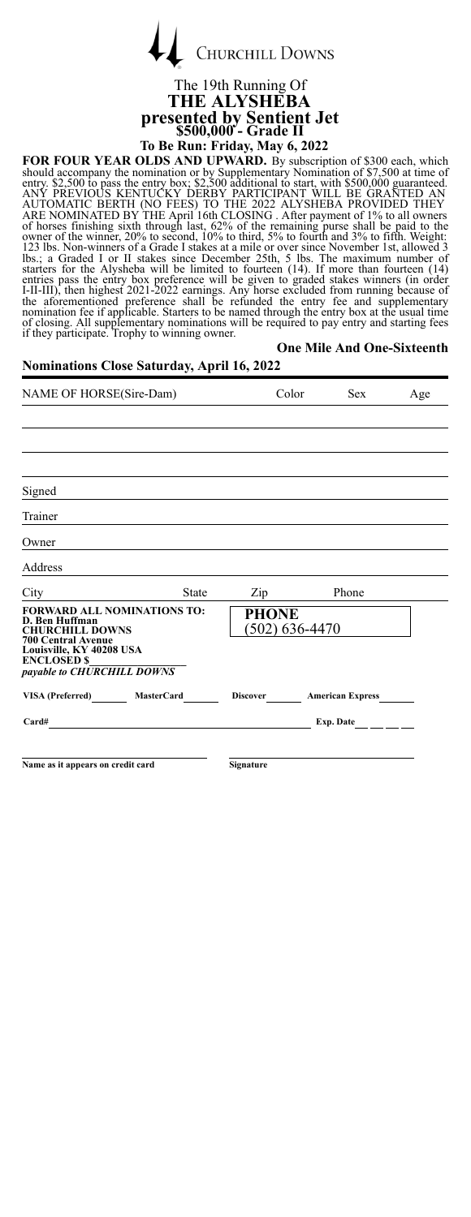|  | <b>CHURCHILL DOWNS</b> |
|--|------------------------|
|  |                        |

### The 19th Running Of **THE ALYSHEBA presented by Sentient Jet \$500,000 - Grade II To Be Run: Friday, May 6, 2022**

FOR FOUR YEAR OLDS AND UPWARD. By subscription of \$300 each, which should accompany the nomination or by Suplementary Nomination of \$7,500 at time of the entry box; \$2,500 additional to start, with \$500,000 at time of ANY **One Mile And One-Sixteenth**

### **Nominations Close Saturday, April 16, 2022** NAME OF HORSE(Sire-Dam) Color Sex Age

| Signed                                                                                                                                                                        |       |                                  |                           |  |
|-------------------------------------------------------------------------------------------------------------------------------------------------------------------------------|-------|----------------------------------|---------------------------|--|
| Trainer                                                                                                                                                                       |       |                                  |                           |  |
| Owner                                                                                                                                                                         |       |                                  |                           |  |
| Address                                                                                                                                                                       |       |                                  |                           |  |
| City                                                                                                                                                                          | State | $\mathop{\mathrm{Zip}}\nolimits$ | Phone                     |  |
| FORWARD ALL NOMINATIONS TO:<br>D. Ben Huffman<br><b>CHURCHILL DOWNS</b><br>700 Central Avenue<br>Louisville, KY 40208 USA<br><b>ENCLOSED \$</b><br>payable to CHURCHILL DOWNS |       | <b>PHONE</b>                     | $(502)$ 636-4470          |  |
| VISA (Preferred) MasterCard                                                                                                                                                   |       |                                  | Discover American Express |  |
| Card#                                                                                                                                                                         |       |                                  | Exp. Date                 |  |
|                                                                                                                                                                               |       |                                  |                           |  |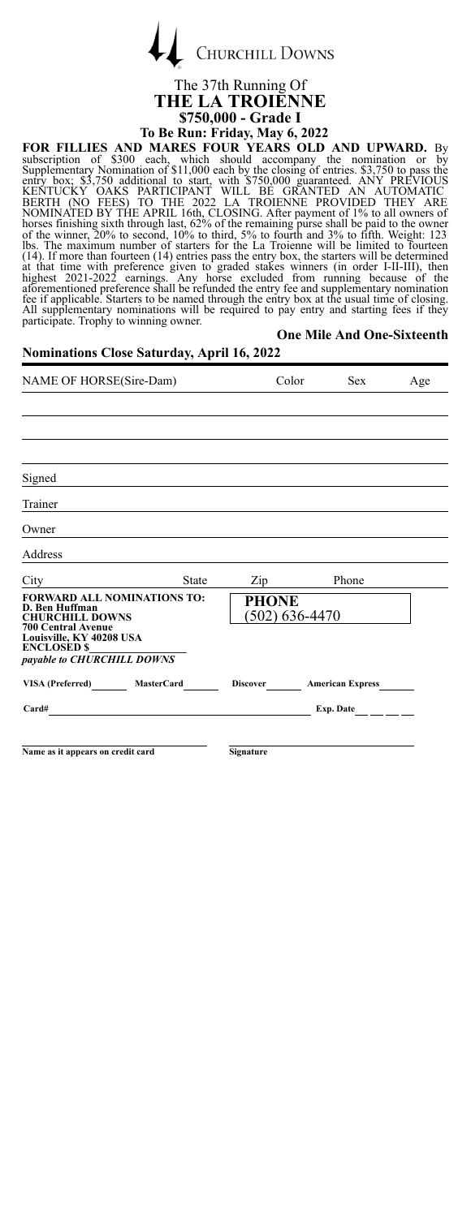

### The 37th Running Of **THE LA TROIENNE To Be Run: Friday, May 6, 2022**

**\$750,000 - Grade I** FOR FILLIES AND MARES FOUR YEARS OLD AND UPWARD. By<br>subscription of \$300 each, which should accompany the nomination or by<br>Supplementary Nomination of \$11,000 each by the closing of entries. S3,750 to pass the<br>entry box: \$ **One Mile And One-Sixteenth**

| NAME OF HORSE(Sire-Dam)                                                                                                                 |                  | Color          | Sex                     | Age |
|-----------------------------------------------------------------------------------------------------------------------------------------|------------------|----------------|-------------------------|-----|
|                                                                                                                                         |                  |                |                         |     |
|                                                                                                                                         |                  |                |                         |     |
|                                                                                                                                         |                  |                |                         |     |
| Signed                                                                                                                                  |                  |                |                         |     |
| Trainer                                                                                                                                 |                  |                |                         |     |
| Owner                                                                                                                                   |                  |                |                         |     |
| Address                                                                                                                                 |                  |                |                         |     |
| <b>State</b><br>City                                                                                                                    | Zip              |                | Phone                   |     |
| <b>FORWARD ALL NOMINATIONS TO:</b><br>D. Ben Huffman<br><b>CHURCHILL DOWNS</b><br><b>700 Central Avenue</b><br>Louisville, KY 40208 USA | <b>PHONE</b>     | (502) 636-4470 |                         |     |
| <b>ENCLOSED \$</b><br>payable to CHURCHILL DOWNS                                                                                        |                  |                |                         |     |
| VISA (Preferred)<br><b>MasterCard</b>                                                                                                   | Discover         |                | <b>American Express</b> |     |
| Card#                                                                                                                                   |                  |                | Exp. Date               |     |
|                                                                                                                                         |                  |                |                         |     |
| Name as it appears on credit card                                                                                                       | <b>Signature</b> |                |                         |     |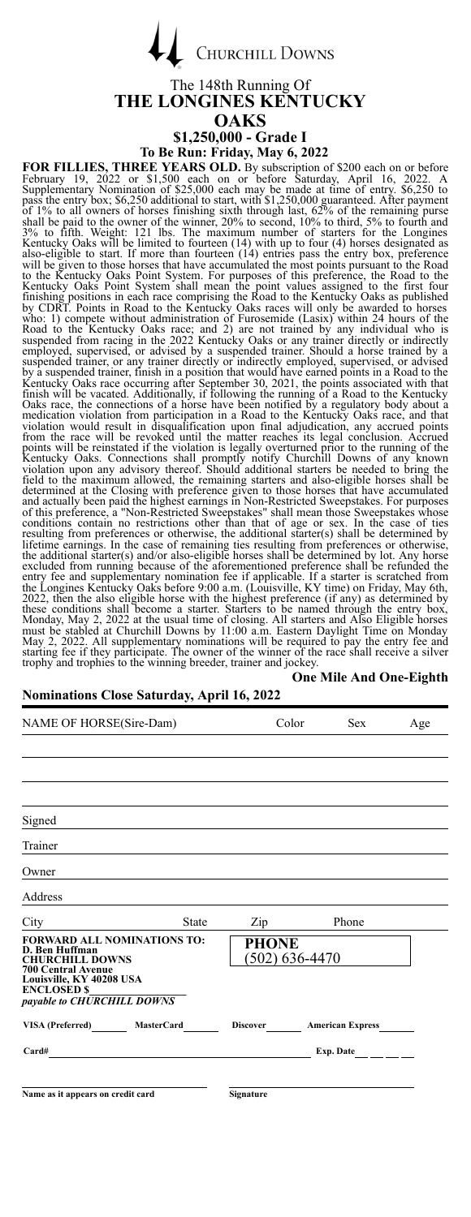

#### The 148th Running Of **THE LONGINES KENTUCKY OAKS \$1,250,000 - Grade I**

To Be Run: Friday, May 6, 2022<br>THREE YEARS OLD. By subscription of \$200 each on or before<br>22 or \$1,500 each on or before Saturday, April 16, 2022. A FOR FILLIES, THREE YEARS OLD. By subscription of \$200 each on or before February 19, 2022 or \$1,500 each on or before Saturday, April 16, 2022. A subplementary Nomination of \$25,000 each may be made at time of entry. \$6,25 points will be reinstated if the violation is legally overturned prior to the running of the Kentucky Oaks. Connections shall promptly notify Churchill Downs of any known widely violation upon any advisory thereof. Should these conditions shall become a starter. Starters to be named through the entry box,<br>Monday, May 2, 2022 at the usual time of closing. All starters and Also Eligible horses<br>must be stabled at Churchill Downs by 11:00 a.m. trophy and trophies to the winning breeder, trainer and jockey.

### **One Mile And One-Eighth**

| NAME OF HORSE(Sire-Dam)                                                                                                                 |              | Color          | <b>Sex</b>              | Age |
|-----------------------------------------------------------------------------------------------------------------------------------------|--------------|----------------|-------------------------|-----|
|                                                                                                                                         |              |                |                         |     |
|                                                                                                                                         |              |                |                         |     |
|                                                                                                                                         |              |                |                         |     |
| Signed                                                                                                                                  |              |                |                         |     |
| Trainer                                                                                                                                 |              |                |                         |     |
| Owner                                                                                                                                   |              |                |                         |     |
| Address                                                                                                                                 |              |                |                         |     |
| State<br>City                                                                                                                           | Zip          |                | Phone                   |     |
| <b>FORWARD ALL NOMINATIONS TO:</b><br>D. Ben Huffman<br><b>CHURCHILL DOWNS</b><br><b>700 Central Avenue</b><br>Louisville, KY 40208 USA | <b>PHONE</b> | (502) 636-4470 |                         |     |
| <b>ENCLOSED \$</b><br>payable to CHURCHILL DOWNS                                                                                        |              |                |                         |     |
| VISA (Preferred)<br><b>MasterCard</b>                                                                                                   | Discover     |                | <b>American Express</b> |     |
| Card#                                                                                                                                   |              |                | Exp. Date               |     |
|                                                                                                                                         |              |                |                         |     |
| Name as it appears on credit card                                                                                                       | Signature    |                |                         |     |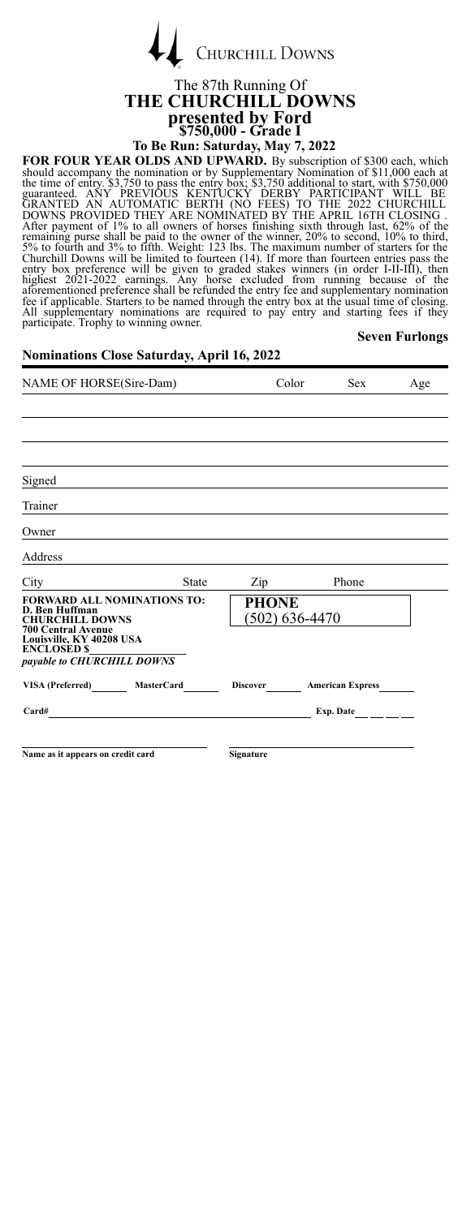| <b>CHURCHILL DOWNS</b> |
|------------------------|

# The 87th Running Of **THE CHURCHILL DOWNS presented by Ford \$750,000 - Grade I**

**To Be Run: Saturday, May 7, 2022**<br>**FOR FOUR YEAR OLDS AND UPWARD.** By subscription of \$300 each, which FOR FOUR YEAR OLDS AND UPWARD. By subscription of \$300 each, which should accompany the nomination or by Supplementary Nomination of \$11,000 each at the time of entry. \$3,750 to pass the entry box, \$3,750 additional to sta

**Seven Furlongs**

#### **Nominations Close Saturday, April 16, 2022**

 $\overline{1}$ 

| NAME OF HORSE(Sire-Dam)                                                                                                                                                                     |              | Color                       | <b>Sex</b>              | Age |
|---------------------------------------------------------------------------------------------------------------------------------------------------------------------------------------------|--------------|-----------------------------|-------------------------|-----|
|                                                                                                                                                                                             |              |                             |                         |     |
|                                                                                                                                                                                             |              |                             |                         |     |
|                                                                                                                                                                                             |              |                             |                         |     |
| Signed                                                                                                                                                                                      |              |                             |                         |     |
| Trainer                                                                                                                                                                                     |              |                             |                         |     |
| Owner                                                                                                                                                                                       |              |                             |                         |     |
| Address                                                                                                                                                                                     |              |                             |                         |     |
| City                                                                                                                                                                                        | <b>State</b> | Zip                         | Phone                   |     |
| <b>FORWARD ALL NOMINATIONS TO:</b><br>D. Ben Huffman<br><b>CHURCHILL DOWNS</b><br><b>700 Central Avenue</b><br>Louisville, KY 40208 USA<br><b>ENCLOSED \$</b><br>payable to CHURCHILL DOWNS |              | PHONE<br>$(502) 636 - 4470$ |                         |     |
| VISA (Preferred) MasterCard                                                                                                                                                                 |              | <b>Discover</b>             | <b>American Express</b> |     |
| Card#                                                                                                                                                                                       |              |                             | Exp. Date               |     |
|                                                                                                                                                                                             |              |                             |                         |     |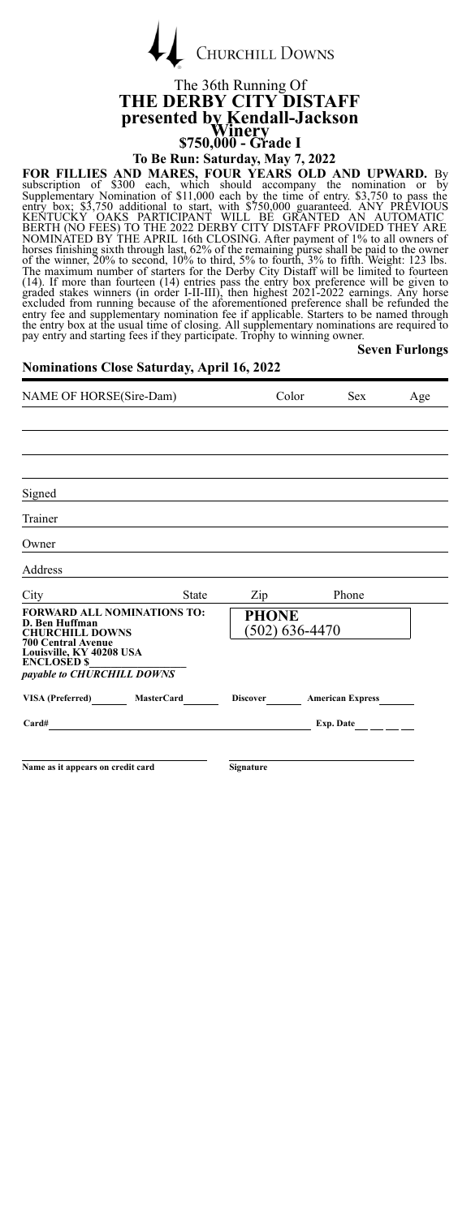| <b>CHURCHILL DOWNS</b> |
|------------------------|
|                        |

# The 36th Running Of **THE DERBY CITY DISTAFF presented by Kendall-Jackson Winery \$750,000 - Grade I**

**To Be Run: Saturday, May 7, 2022**

FOR FILLIES AND MARES, FOUR YEARS OLD AND UPWARD. By<br>subscription of \$300 each, which should accompany the nomination or sumplementary Nomination of s11,000 each by the time of entry. \$3,750 to pass the<br>entry box; \$3,750 a **Seven Furlongs**

#### **Nominations Close Saturday, April 16, 2022**

 $\overline{1}$ 

| NAME OF HORSE(Sire-Dam)                                                                                                                                                              |       | Color                            | <b>Sex</b> | Age |  |
|--------------------------------------------------------------------------------------------------------------------------------------------------------------------------------------|-------|----------------------------------|------------|-----|--|
|                                                                                                                                                                                      |       |                                  |            |     |  |
|                                                                                                                                                                                      |       |                                  |            |     |  |
|                                                                                                                                                                                      |       |                                  |            |     |  |
| Signed                                                                                                                                                                               |       |                                  |            |     |  |
| Trainer                                                                                                                                                                              |       |                                  |            |     |  |
| Owner                                                                                                                                                                                |       |                                  |            |     |  |
| Address                                                                                                                                                                              |       |                                  |            |     |  |
| City                                                                                                                                                                                 | State | Zip                              | Phone      |     |  |
| <b>FORWARD ALL NOMINATIONS TO:</b><br>D. Ben Huffman<br><b>CHURCHILL DOWNS</b><br><b>700 Central Avenue</b><br>Louisville, KY 40208 USA<br>ENCLOSED \$<br>payable to CHURCHILL DOWNS |       | <b>PHONE</b><br>$(502)$ 636-4470 |            |     |  |
| VISA (Preferred) MasterCard                                                                                                                                                          |       | Discover American Express        |            |     |  |
| Card#                                                                                                                                                                                |       |                                  | Exp. Date  |     |  |
|                                                                                                                                                                                      |       |                                  |            |     |  |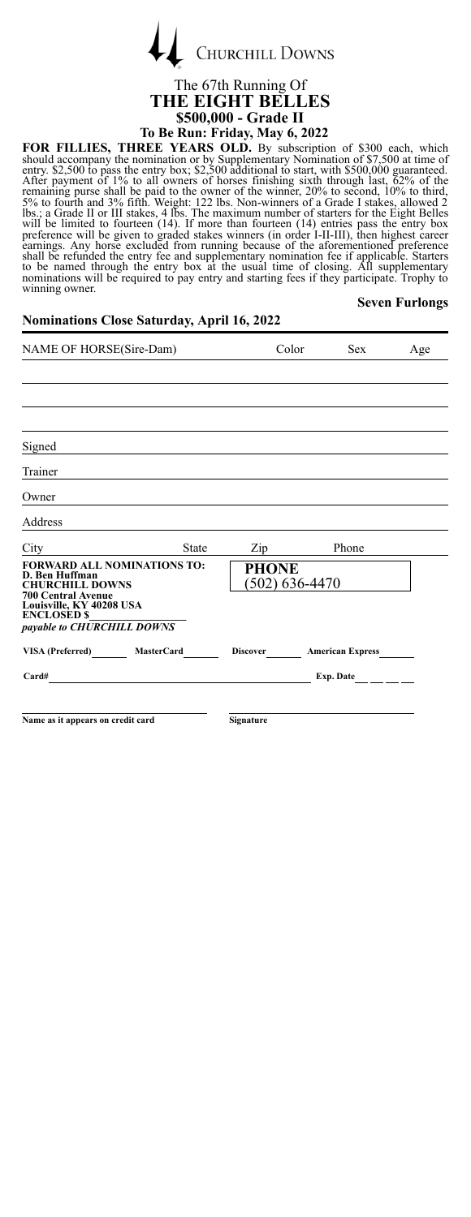

### The 67th Running Of **THE EIGHT BELLES \$500,000 - Grade II**

### **To Be Run: Friday, May 6, 2022**

FOR FILLIES, THREE YEARS OLD. By subscription of \$300 each, which should accompany the nomination or by Suplementary Nomination of \$7,500 at time of the entry \$2,500 and the entry box; \$2,500 additional to start, with \$500 **Seven Furlongs**

| NAME OF HORSE(Sire-Dam)                                                                                     |              |              | Color<br><b>Sex</b>       | Age              |
|-------------------------------------------------------------------------------------------------------------|--------------|--------------|---------------------------|------------------|
|                                                                                                             |              |              |                           |                  |
|                                                                                                             |              |              |                           |                  |
|                                                                                                             |              |              |                           |                  |
| Signed                                                                                                      |              |              |                           |                  |
| Trainer                                                                                                     |              |              |                           |                  |
| Owner                                                                                                       |              |              |                           |                  |
| Address                                                                                                     |              |              |                           |                  |
| City                                                                                                        | <b>State</b> | Zip          | Phone                     |                  |
| <b>FORWARD ALL NOMINATIONS TO:</b><br>D. Ben Huffman<br><b>CHURCHILL DOWNS</b><br><b>700 Central Avenue</b> |              | <b>PHONE</b> | $(502) 636 - 4470$        |                  |
| Louisville, KY 40208 USA<br><b>ENCLOSED \$</b><br>payable to CHURCHILL DOWNS                                |              |              |                           |                  |
| VISA (Preferred) MasterCard                                                                                 |              |              | Discover American Express |                  |
| Card#                                                                                                       |              |              |                           | Exp. Date $\_\_$ |
|                                                                                                             |              |              |                           |                  |
| Name as it appears on credit card                                                                           |              | Signature    |                           |                  |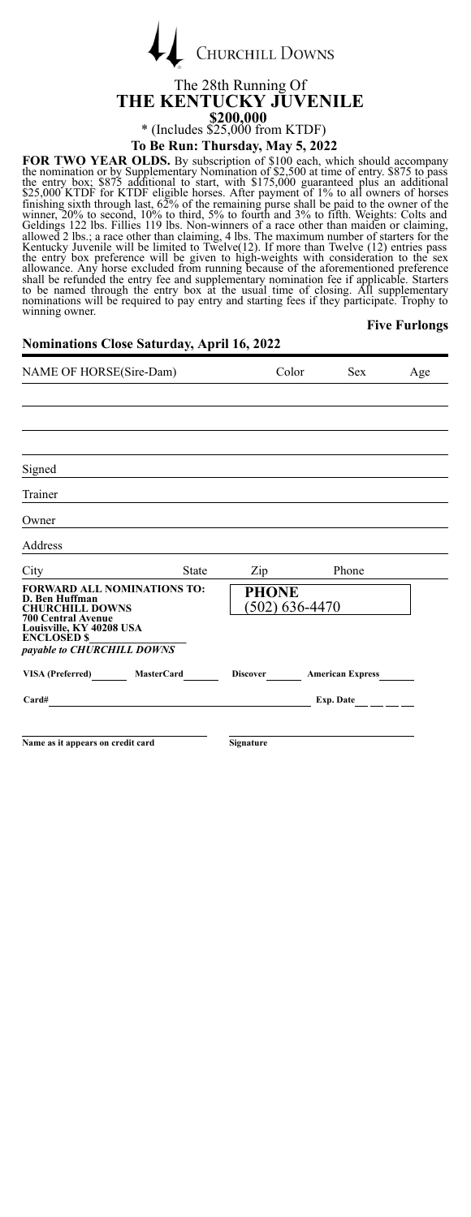

### The 28th Running Of **THE KENTUCKY JUVENILE \$200,000** \* (Includes  $\frac{$25,000}{$25,000}$  from KTDF)<br>To Be Run: Thursday, May 5, 2022

**To Be Run: Thursday, May 5, 2022**

**FOR TWO YEAR OLDS.** By subscription of \$100 each, which should accompany the nomination or by Supplementary Nomination of \$2,500 at time of entry. \$875 to pass the entry box; \$875 additional to start, with \$175,000 guaran **Five Furlongs**

| <b>Nominations Close Saturday, April 16, 2022</b>                                                                                                                                           |              |                                  |       |                           |     |
|---------------------------------------------------------------------------------------------------------------------------------------------------------------------------------------------|--------------|----------------------------------|-------|---------------------------|-----|
| NAME OF HORSE(Sire-Dam)                                                                                                                                                                     |              |                                  | Color | <b>Sex</b>                | Age |
|                                                                                                                                                                                             |              |                                  |       |                           |     |
| Signed                                                                                                                                                                                      |              |                                  |       |                           |     |
| Trainer                                                                                                                                                                                     |              |                                  |       |                           |     |
| Owner                                                                                                                                                                                       |              |                                  |       |                           |     |
| Address                                                                                                                                                                                     |              |                                  |       |                           |     |
| City                                                                                                                                                                                        | <b>State</b> | Zip                              |       | Phone                     |     |
| <b>FORWARD ALL NOMINATIONS TO:</b><br>D. Ben Huffman<br><b>CHURCHILL DOWNS</b><br><b>700 Central Avenue</b><br>Louisville, KY 40208 USA<br><b>ENCLOSED \$</b><br>payable to CHURCHILL DOWNS |              | <b>PHONE</b><br>$(502)$ 636-4470 |       |                           |     |
| VISA (Preferred) MasterCard                                                                                                                                                                 |              |                                  |       | Discover American Express |     |
| $Card#$ $\qquad \qquad$                                                                                                                                                                     |              |                                  |       | Exp. Date                 |     |
| Name as it appears on credit card                                                                                                                                                           |              | Signature                        |       |                           |     |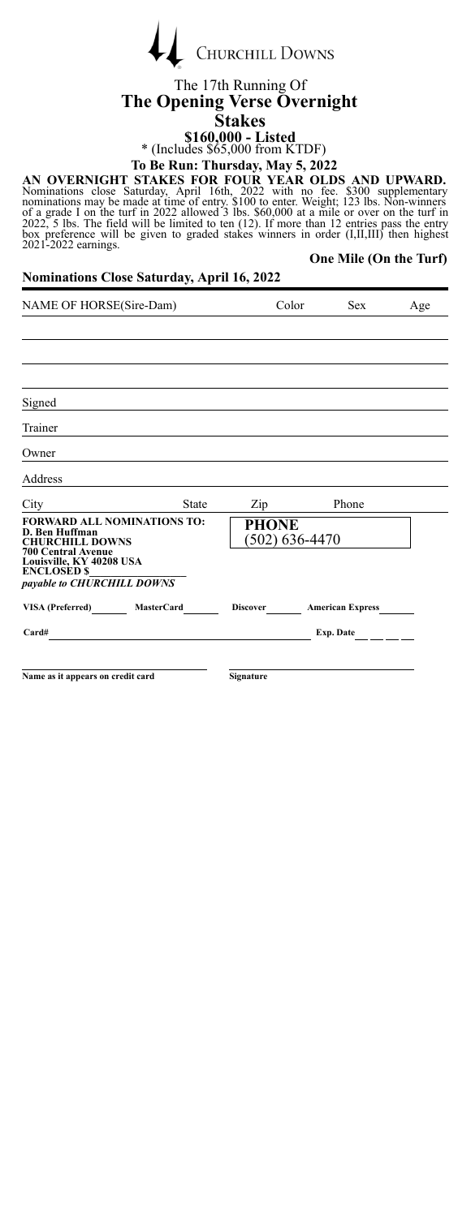| CHURCHILL DOWNS |
|-----------------|
|                 |

### The 17th Running Of **The Opening Verse Overnight Stakes**

**\$160,000 - Listed** \* (Includes \$65,000 from KTDF)

**To Be Run: Thursday, May 5, 2022**

**One Mile (On the Turf)**

AN OVERNIGHT STAKES FOR FOUR YEAR OLDS AND UPWARD.<br>Nominations close Saturday, April 16th, 2022 with no fee. \$300 supplementary<br>nominations may be made at time of entry. \$100 to enter. Weight; 123 lbs. Non-winners<br>of a gr

**Nominations Close Saturday, April 16, 2022**

NAME OF HORSE(Sire-Dam) Color Sex Age Signed Trainer Owner Address City State Zip Phone **FORWARD ALL NOMINATIONS TO: D. Ben Huffman<br>CHURCHILL DOWNS<br>700 Central Avenue<br>Louisville, KY 40208 USA<br>ENCLOSED \$** *payable to CHURCHILL DOWNS* **PHONE** (502) 636-4470 **VISA (Preferred) MasterCard Discover American Express Card# Exp. Date Name as it appears on credit card Signature**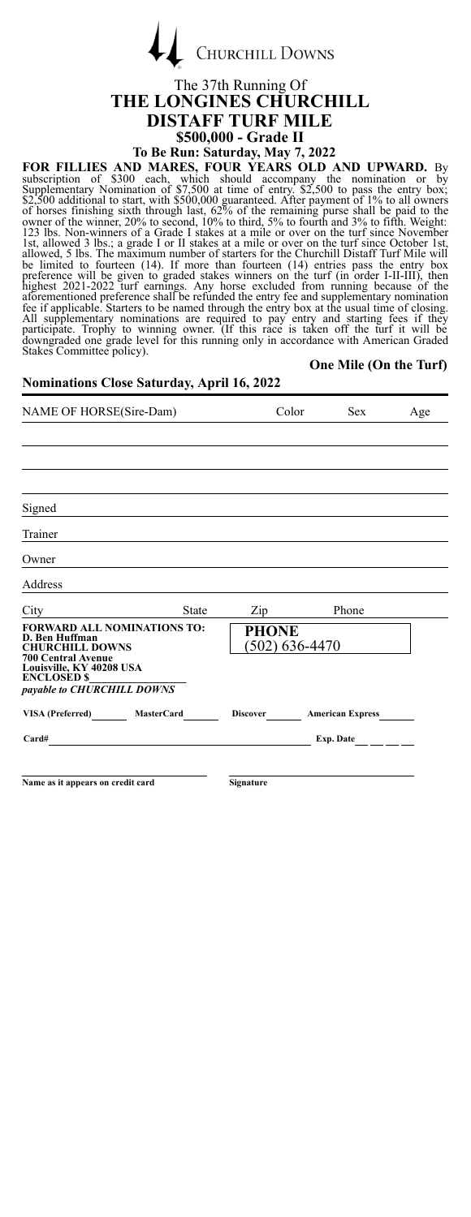**CHURCHILL DOWNS** 

#### The 37th Running Of **THE LONGINES CHURCHILL DISTAFF TURF MILE \$500,000 - Grade II**

**To Be Run: Saturday, May 7, 2022**

FOR FILLIES AND MARES, FOUR YEARS OLD AND UPWARD. By<br>subscription of \$300 each, which should accompany the nomiation or by<br>Supplementary Nomination of \$7,500 at time of entry. \$2,500 to pass the entry box;<br>\$2,500 additiona

**One Mile (On the Turf)**

| NAME OF HORSE(Sire-Dam)                                                                                     | Color                            | <b>Sex</b>                            | Age |
|-------------------------------------------------------------------------------------------------------------|----------------------------------|---------------------------------------|-----|
|                                                                                                             |                                  |                                       |     |
|                                                                                                             |                                  |                                       |     |
|                                                                                                             |                                  |                                       |     |
| Signed                                                                                                      |                                  |                                       |     |
| Trainer                                                                                                     |                                  |                                       |     |
| Owner                                                                                                       |                                  |                                       |     |
| Address                                                                                                     |                                  |                                       |     |
| City<br><b>State</b>                                                                                        | Zip                              | Phone                                 |     |
| <b>FORWARD ALL NOMINATIONS TO:</b><br>D. Ben Huffman<br><b>CHURCHILL DOWNS</b><br><b>700 Central Avenue</b> | <b>PHONE</b><br>(502) 636-4470   |                                       |     |
| Louisville, KY 40208 USA<br><b>ENCLOSED \$</b><br>payable to CHURCHILL DOWNS                                |                                  |                                       |     |
| VISA (Preferred) MasterCard                                                                                 | Discover <b>American Express</b> |                                       |     |
| Card#                                                                                                       |                                  | Exp. Date $\qquad \qquad \_ \_ \_ \_$ |     |
|                                                                                                             |                                  |                                       |     |
| Name as it appears on credit card                                                                           | Signature                        |                                       |     |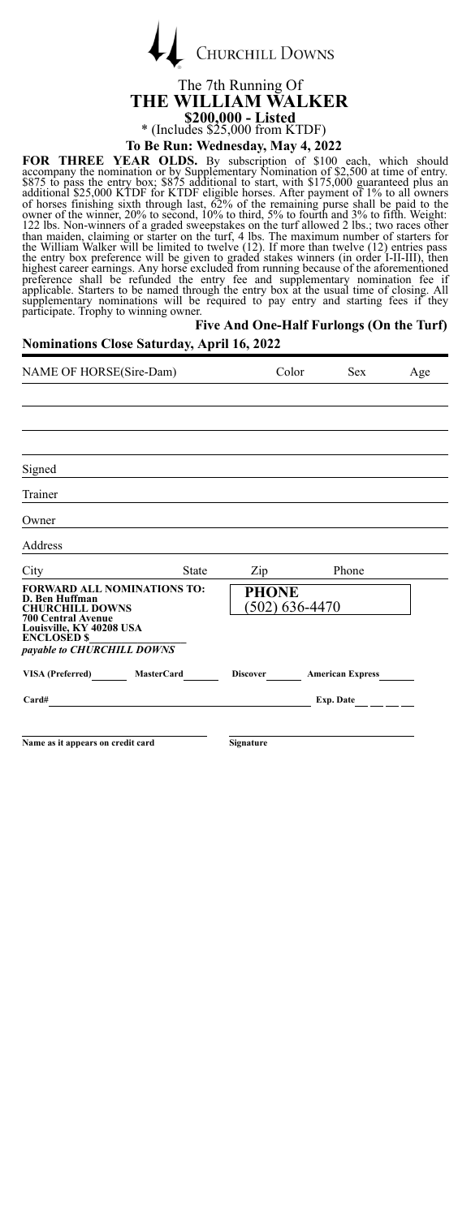| <b>CHURCHILL DOWNS</b> |
|------------------------|

 $\overline{1}$ 

The 7th Running Of **THE WILLIAM WALKER \$200,000 - Listed** \* (Includes \$25,000 from KTDF) **To Be Run: Wednesday, May 4, 2022**

**FOR THREE YEAR OLDS.** By subscription of \$100 each, which should<br>accompany the nomination or by Supplementary Nomination of \$2,500 at time of entry.<br>\$875 to pass the entry box; \$875 additional to start, with \$175,000 guar **Five And One-Half Furlongs (On the Turf)**

| <b>Nominations Close Saturday, April 16, 2022</b>                                                           | $1.77.1$ and $0.001.001$ and $0.001.001$ and $0.001.001$ |       |                 |     |
|-------------------------------------------------------------------------------------------------------------|----------------------------------------------------------|-------|-----------------|-----|
| NAME OF HORSE(Sire-Dam)                                                                                     |                                                          | Color | <b>Sex</b>      | Age |
|                                                                                                             |                                                          |       |                 |     |
| Signed                                                                                                      |                                                          |       |                 |     |
| Trainer                                                                                                     |                                                          |       |                 |     |
| Owner                                                                                                       |                                                          |       |                 |     |
| Address                                                                                                     |                                                          |       |                 |     |
| State<br>City                                                                                               | Zip                                                      |       | Phone           |     |
| <b>FORWARD ALL NOMINATIONS TO:</b><br>D. Ben Huffman<br><b>CHURCHILL DOWNS</b><br><b>700 Central Avenue</b> | <b>PHONE</b><br>$(502)$ 636-4470                         |       |                 |     |
| Louisville, KY 40208 USA<br><b>ENCLOSED \$</b><br>payable to CHURCHILL DOWNS                                |                                                          |       |                 |     |
| VISA (Preferred) MasterCard                                                                                 | Discover American Express                                |       |                 |     |
| Card#                                                                                                       |                                                          |       | Exp. Date _____ |     |
| Name as it appears on credit card                                                                           | Signature                                                |       |                 |     |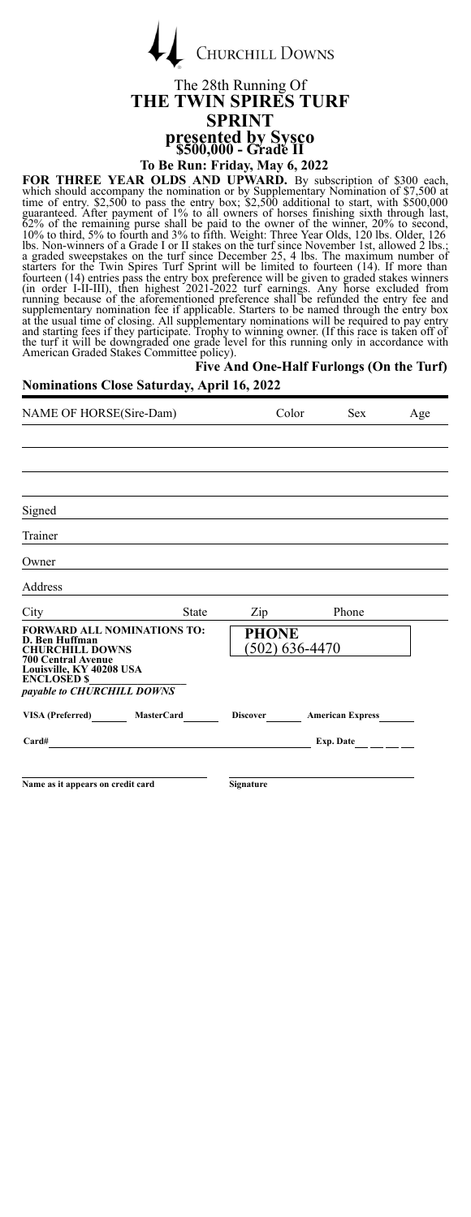| <b>CHURCHILL DOWNS</b> |
|------------------------|
|                        |

### The 28th Running Of **THE TWIN SPIRES TURF SPRINT presented by Sysco \$500,000 - Grade II**

**To Be Run: Friday, May 6, 2022**

FOR THREE YEAR OLDS AND UPWARD. By subscription of \$300 each, which should accompany the nomiation or by Supplementary Nomination of \$7,500 at time of entry. \$2,500 at entry box; \$2,500 additional to start, with \$500,000 g

#### **Five And One-Half Furlongs (On the Turf)**

#### **Nominations Close Saturday, April 16, 2022**

 $\overline{1}$ 

| NAME OF HORSE(Sire-Dam)                                                                                                                                                                     |              | Color                              | <b>Sex</b>              | Age |
|---------------------------------------------------------------------------------------------------------------------------------------------------------------------------------------------|--------------|------------------------------------|-------------------------|-----|
|                                                                                                                                                                                             |              |                                    |                         |     |
|                                                                                                                                                                                             |              |                                    |                         |     |
|                                                                                                                                                                                             |              |                                    |                         |     |
| Signed                                                                                                                                                                                      |              |                                    |                         |     |
| Trainer                                                                                                                                                                                     |              |                                    |                         |     |
| Owner                                                                                                                                                                                       |              |                                    |                         |     |
| Address                                                                                                                                                                                     |              |                                    |                         |     |
| City                                                                                                                                                                                        | <b>State</b> | Zip                                | Phone                   |     |
| <b>FORWARD ALL NOMINATIONS TO:</b><br>D. Ben Huffman<br><b>CHURCHILL DOWNS</b><br><b>700 Central Avenue</b><br>Louisville, KY 40208 USA<br><b>ENCLOSED \$</b><br>payable to CHURCHILL DOWNS |              | <b>PHONE</b><br>$(502) 636 - 4470$ |                         |     |
| VISA (Preferred)<br><b>MasterCard</b>                                                                                                                                                       |              | <b>Discover</b>                    | <b>American Express</b> |     |
| Card#                                                                                                                                                                                       |              |                                    | Exp. Date               |     |
|                                                                                                                                                                                             |              |                                    |                         |     |
| Name as it appears on credit card                                                                                                                                                           |              | Signature                          |                         |     |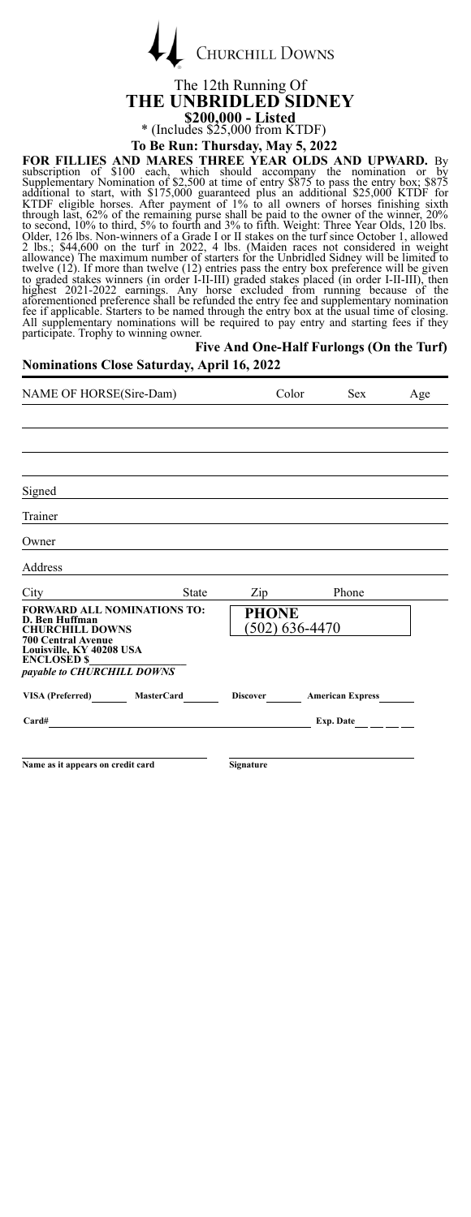| <b>CHURCHILL DOWNS</b> |
|------------------------|
|                        |

### The 12th Running Of **THE UNBRIDLED SIDNEY \$200,000 - Listed** \* (Includes \$25,000 from KTDF)

#### **To Be Run: Thursday, May 5, 2022**

FOR FILLIES AND MARES THREE YEAR OLDS AND UPWARD. By<br>subscription of \$100 each, which should accompany the nomination or<br>Supplementary Nomination of \$2,500 at time of entry \$875 to pass the entry box; \$875<br>additional to st

### **Five And One-Half Furlongs (On the Turf)**

### **Nominations Close Saturday, April 16, 2022**

 $\overline{1}$ 

| NAME OF HORSE(Sire-Dam)                                                                                                                                                                     |              | Color                            | <b>Sex</b>       | Age |
|---------------------------------------------------------------------------------------------------------------------------------------------------------------------------------------------|--------------|----------------------------------|------------------|-----|
|                                                                                                                                                                                             |              |                                  |                  |     |
|                                                                                                                                                                                             |              |                                  |                  |     |
|                                                                                                                                                                                             |              |                                  |                  |     |
| Signed                                                                                                                                                                                      |              |                                  |                  |     |
| Trainer                                                                                                                                                                                     |              |                                  |                  |     |
| Owner                                                                                                                                                                                       |              |                                  |                  |     |
| Address                                                                                                                                                                                     |              |                                  |                  |     |
| City<br>State                                                                                                                                                                               | Zip          |                                  | Phone            |     |
| <b>FORWARD ALL NOMINATIONS TO:</b><br>D. Ben Huffman<br><b>CHURCHILL DOWNS</b><br><b>700 Central Avenue</b><br>Louisville, KY 40208 USA<br><b>ENCLOSED \$</b><br>payable to CHURCHILL DOWNS | <b>PHONE</b> | $(502)$ 636-4470                 |                  |     |
| VISA (Preferred) MasterCard                                                                                                                                                                 |              | Discover <b>American Express</b> |                  |     |
| Card#<br>the contract of the contract of the contract of the contract of the contract of                                                                                                    |              |                                  | Exp. Date $\_\_$ |     |
|                                                                                                                                                                                             |              |                                  |                  |     |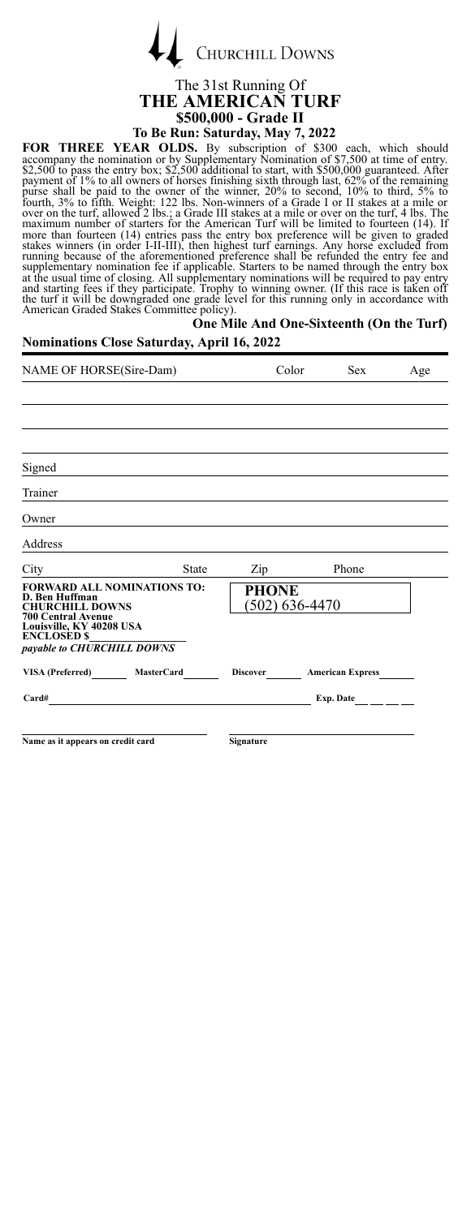

## The 31st Running Of **THE AMERICAN TURF \$500,000 - Grade II**<br>To Be Run: Saturday, May 7, 2022

### **To Be Run: Saturday, May 7, 2022**

**FOR THREE YEAR OLDS.** By subscription of \$300 each, which should accompany the nomination or by Supliementary Nomination of \$7,500 at time of entry payment of 1% to all owners of horses finishing sixth through last, 62% o

| <b>Nominations Close Saturday, April 16, 2022</b>                                                                                                                                   |       | One Mile And One-Sixteenth (On the Turf) |                                  |      |     |
|-------------------------------------------------------------------------------------------------------------------------------------------------------------------------------------|-------|------------------------------------------|----------------------------------|------|-----|
| NAME OF HORSE(Sire-Dam)                                                                                                                                                             |       |                                          | Color                            | Sex. | Age |
|                                                                                                                                                                                     |       |                                          |                                  |      |     |
| Signed                                                                                                                                                                              |       |                                          |                                  |      |     |
| Trainer                                                                                                                                                                             |       |                                          |                                  |      |     |
| Owner                                                                                                                                                                               |       |                                          |                                  |      |     |
| Address                                                                                                                                                                             |       |                                          |                                  |      |     |
| City                                                                                                                                                                                | State | Zip                                      | Phone                            |      |     |
| <b>FORWARD ALL NOMINATIONS TO:</b><br>D. Ben Huffman<br><b>CHURCHILL DOWNS</b><br>700 Central Avenue<br>Louisville, KY 40208 USA<br><b>ENCLOSED S</b><br>payable to CHURCHILL DOWNS |       | <b>PHONE</b>                             | $(502)$ 636-4470                 |      |     |
| VISA (Preferred) MasterCard                                                                                                                                                         |       |                                          | Discover <b>American Express</b> |      |     |
| $Card#$ Exp. Date $\_\_\_\_\_\_\_\_\_\_\_\_\_\_\_\_\_$                                                                                                                              |       |                                          |                                  |      |     |
| Name as it appears on credit card                                                                                                                                                   |       | Signature                                |                                  |      |     |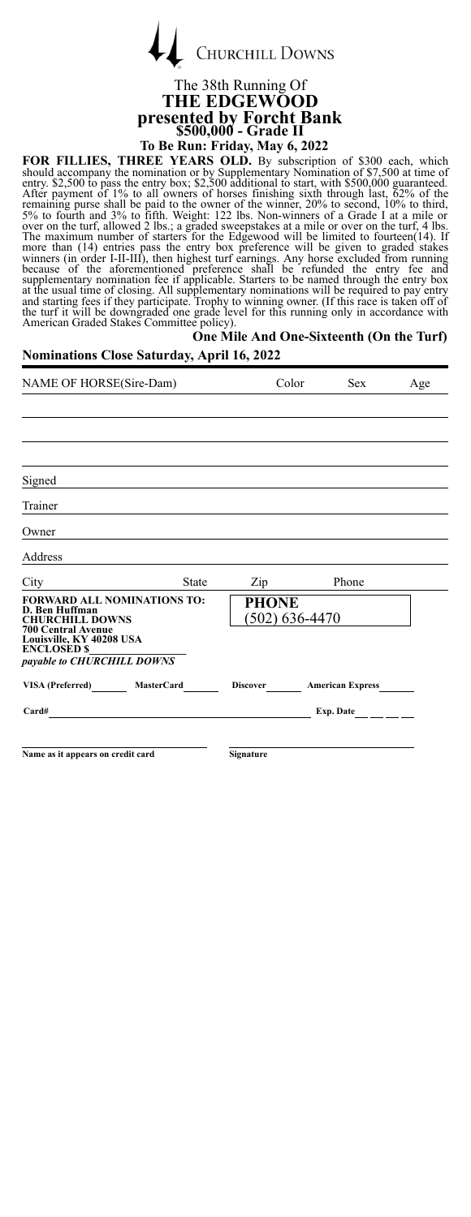

### The 38th Running Of **THE EDGEWOOD presented by Forcht Bank \$500,000 - Grade II To Be Run: Friday, May 6, 2022**

FOR FILLIES, THREE YEARS OLD. By subscription of \$300 each, which should accompany the nomination or by Suplementary Nomination of \$7,500 at time of the entry s2,500 at the entry box; \$2,500 at time of 1% of the entry box; and starting fees if they participate. Trophy to winning owner. (If this race is taken off of the turf it will be downgraded one grade level for this running only in accordance with American Graded Stakes Committee policy).

### **One Mile And One-Sixteenth (On the Turf)**

### **Nominations Close Saturday, April 16, 2022**

| NAME OF HORSE(Sire-Dam)                                                                                                                                                                     | Color                              | <b>Sex</b>              | Age |
|---------------------------------------------------------------------------------------------------------------------------------------------------------------------------------------------|------------------------------------|-------------------------|-----|
|                                                                                                                                                                                             |                                    |                         |     |
|                                                                                                                                                                                             |                                    |                         |     |
|                                                                                                                                                                                             |                                    |                         |     |
| Signed                                                                                                                                                                                      |                                    |                         |     |
| Trainer                                                                                                                                                                                     |                                    |                         |     |
| Owner                                                                                                                                                                                       |                                    |                         |     |
| Address                                                                                                                                                                                     |                                    |                         |     |
| City<br><b>State</b>                                                                                                                                                                        | Zip                                | Phone                   |     |
| <b>FORWARD ALL NOMINATIONS TO:</b><br>D. Ben Huffman<br><b>CHURCHILL DOWNS</b><br><b>700 Central Avenue</b><br>Louisville, KY 40208 USA<br><b>ENCLOSED \$</b><br>payable to CHURCHILL DOWNS | <b>PHONE</b><br>$(502) 636 - 4470$ |                         |     |
| VISA (Preferred) MasterCard                                                                                                                                                                 | <b>Discover</b>                    | <b>American Express</b> |     |
| Card#                                                                                                                                                                                       |                                    | Exp. Date               |     |
|                                                                                                                                                                                             |                                    |                         |     |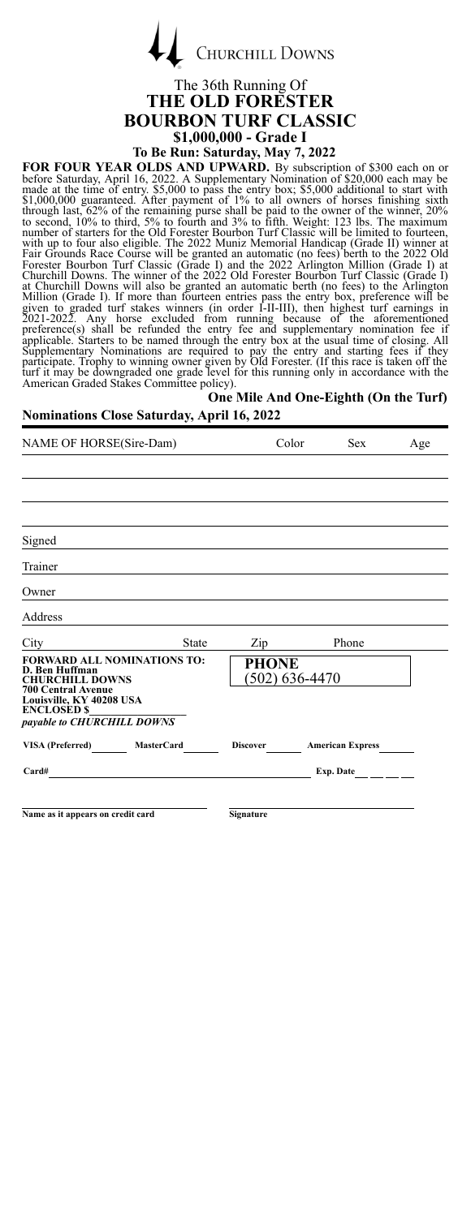

### The 36th Running Of **THE OLD FORESTER BOURBON TURF CLASSIC \$1,000,000 - Grade I**

**To Be Run: Saturday, May 7, 2022**

FOR FOUR YEAR OLDS AND UPWARD. By subscription of \$300 each on or before Saturday, April 16, 2022. A Supplementary Nomination of \$20,000 each may be steaded to the meade at the time of entry. \$5,000 cases the entry box; \$5

#### **One Mile And One-Eighth (On the Turf) Nominations Close Saturday, April 16, 2022**

| NAME OF HORSE(Sire-Dam)                                                                                   | Color        | <b>Sex</b>                         | Age                       |  |
|-----------------------------------------------------------------------------------------------------------|--------------|------------------------------------|---------------------------|--|
|                                                                                                           |              |                                    |                           |  |
|                                                                                                           |              |                                    |                           |  |
|                                                                                                           |              |                                    |                           |  |
| Signed                                                                                                    |              |                                    |                           |  |
| Trainer                                                                                                   |              |                                    |                           |  |
| Owner                                                                                                     |              |                                    |                           |  |
| Address                                                                                                   |              |                                    |                           |  |
| City                                                                                                      | <b>State</b> | $\mathbf{Zip}$                     | Phone                     |  |
| <b>FORWARD ALL NOMINATIONS TO:</b><br>D. Ben Huffman<br><b>CHURCHILL DOWNS</b>                            |              | <b>PHONE</b><br>$(502) 636 - 4470$ |                           |  |
| <b>700 Central Avenue</b><br>Louisville, KY 40208 USA<br><b>ENCLOSED \$</b><br>payable to CHURCHILL DOWNS |              |                                    |                           |  |
| VISA (Preferred) MasterCard                                                                               |              |                                    | Discover American Express |  |
| Card#                                                                                                     |              |                                    | Exp. Date $\_\_$          |  |
|                                                                                                           |              |                                    |                           |  |
| Name as it appears on credit card                                                                         |              | <b>Signature</b>                   |                           |  |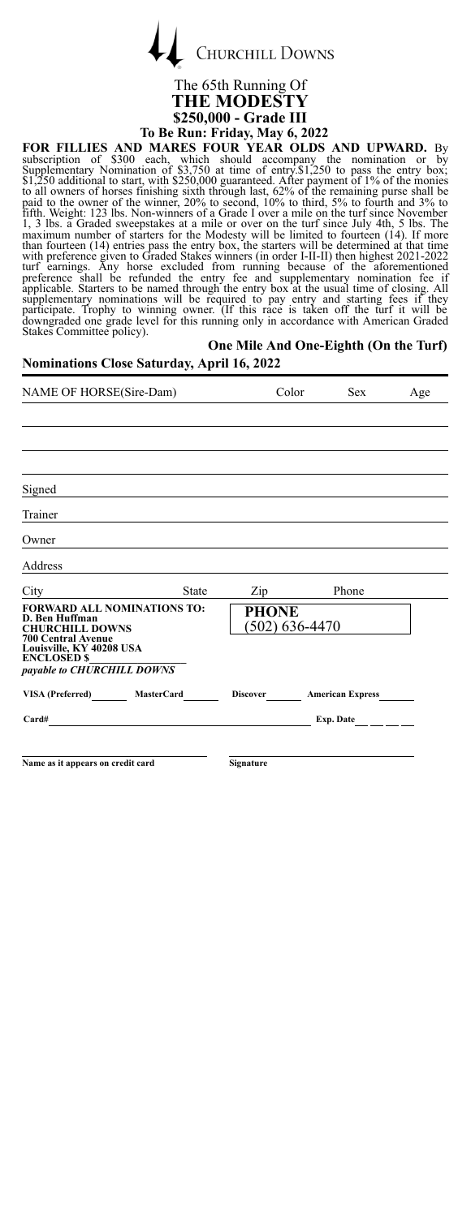**CHURCHILL DOWNS** 

### The 65th Running Of **THE MODESTY \$250,000 - Grade III**

**To Be Run: Friday, May 6, 2022**<br>**FOR FILLIES AND MARES FOUR YEAR OLDS AND UPWARD.** By subscription of \$300 each, which should accompany the nomination or by FOR FILLIES AND MARES FOUR YEAR OLDS AND UPWARD. By<br>subscription of \$300 each, which should accompany the nomiation or by<br>Supplementary Nomination of \$3.750 at time of entry.\$1,250 to pass the entry box;<br>\$1,250 additional

### **One Mile And One-Eighth (On the Turf)**

### **Nominations Close Saturday, April 16, 2022**

| NAME OF HORSE(Sire-Dam)                                                                                                                                                                     |                 | Color<br><b>Sex</b>     | Age |
|---------------------------------------------------------------------------------------------------------------------------------------------------------------------------------------------|-----------------|-------------------------|-----|
|                                                                                                                                                                                             |                 |                         |     |
|                                                                                                                                                                                             |                 |                         |     |
|                                                                                                                                                                                             |                 |                         |     |
| Signed                                                                                                                                                                                      |                 |                         |     |
| Trainer                                                                                                                                                                                     |                 |                         |     |
| Owner                                                                                                                                                                                       |                 |                         |     |
| Address                                                                                                                                                                                     |                 |                         |     |
| City<br>State                                                                                                                                                                               | Zip             | Phone                   |     |
| <b>FORWARD ALL NOMINATIONS TO:</b><br>D. Ben Huffman<br><b>CHURCHILL DOWNS</b><br><b>700 Central Avenue</b><br>Louisville, KY 40208 USA<br><b>ENCLOSED \$</b><br>payable to CHURCHILL DOWNS | <b>PHONE</b>    | $(502)$ 636-4470        |     |
| VISA (Preferred)<br><b>MasterCard</b>                                                                                                                                                       | <b>Discover</b> | <b>American Express</b> |     |
| Card#                                                                                                                                                                                       |                 | Exp. Date               |     |
|                                                                                                                                                                                             |                 |                         |     |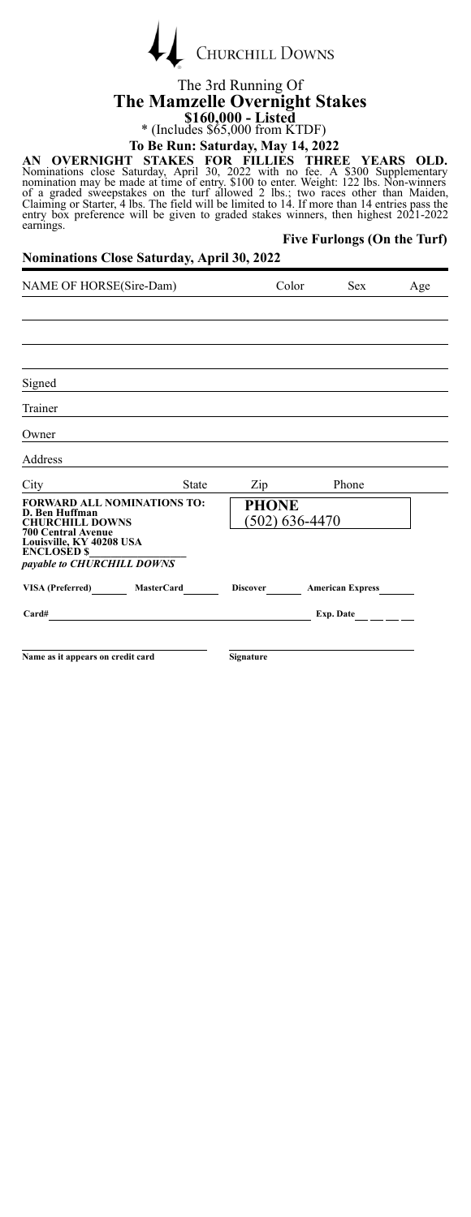

# The 3rd Running Of **The Mamzelle Overnight Stakes \$160,000 - Listed** \* (Includes \$65,000 from KTDF)

### **To Be Run: Saturday, May 14, 2022**

AN OVERNIGHT STAKES FOR FILLIES THREE YEARS OLD.<br>Nominations close Saturday, April 30, 2022 with no fee. A \$300 Supplementary<br>nomination may be made at time of entry. \$100 to enter. Weight: 122 lbs. Non-winners<br>of a graded earnings. **Five Furlongs (On the Turf)**

| NAME OF HORSE(Sire-Dam)                                                                                                       |              | Color                          | <b>Sex</b>              | Age       |
|-------------------------------------------------------------------------------------------------------------------------------|--------------|--------------------------------|-------------------------|-----------|
|                                                                                                                               |              |                                |                         |           |
|                                                                                                                               |              |                                |                         |           |
|                                                                                                                               |              |                                |                         |           |
| Signed                                                                                                                        |              |                                |                         |           |
| Trainer                                                                                                                       |              |                                |                         |           |
| Owner                                                                                                                         |              |                                |                         |           |
| Address                                                                                                                       |              |                                |                         |           |
| City                                                                                                                          | <b>State</b> | Zip                            | Phone                   |           |
| <b>FORWARD ALL NOMINATIONS TO:</b><br>D. Ben Huffman<br><b>CHURCHILL DOWNS</b><br><b>700 Central Avenue</b>                   |              | <b>PHONE</b><br>(502) 636-4470 |                         |           |
| Louisville, KY 40208 USA<br><b>ENCLOSED \$</b>                                                                                |              |                                |                         |           |
| payable to CHURCHILL DOWNS                                                                                                    |              |                                |                         |           |
| VISA (Preferred) MasterCard                                                                                                   |              | <b>Discover</b>                | <b>American Express</b> |           |
| Card#<br><u> 1980 - Jan Stein Stein Stein Stein Stein Stein Stein Stein Stein Stein Stein Stein Stein Stein Stein Stein S</u> |              |                                |                         | Exp. Date |
|                                                                                                                               |              |                                |                         |           |
| Name as it appears on credit card                                                                                             |              | Signature                      |                         |           |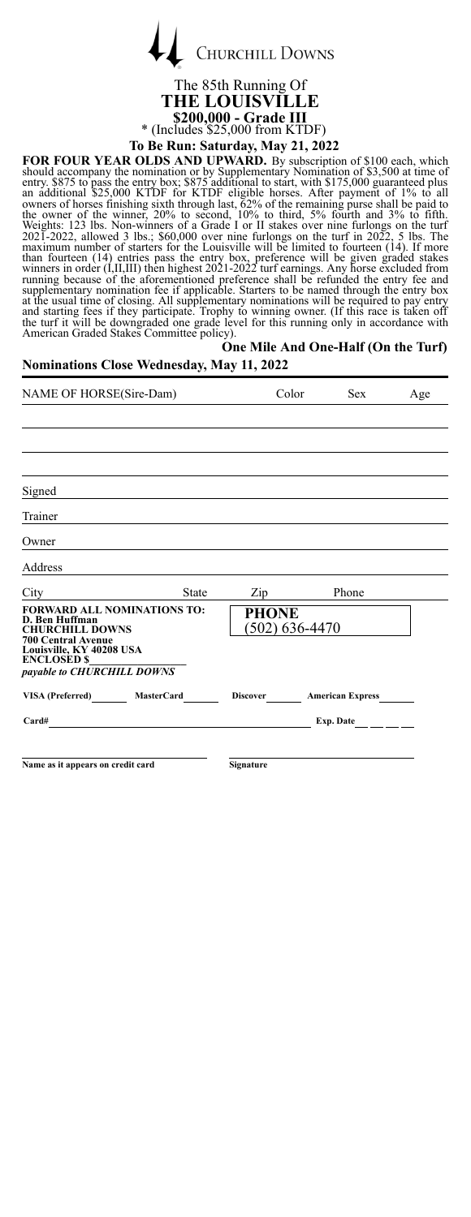

The 85th Running Of **THE LOUISVILLE \$200,000 - Grade III** \* (Includes \$25,000 from KTDF)

**To Be Run: Saturday, May 21, 2022**

FOR FOUR YEAR OLDS AND UPWARD. By subscription of \$100 each, which should accompany the nomination or by Supplementary Nomination of \$3,500 at time of the entry s.875 to pass the entry box; \$875 additional to start, with \$

### **One Mile And One-Half (On the Turf)**

| <b>Nominations Close Wednesday, May 11, 2022</b>                                                                                                                                            |              |                     |                                  |     |
|---------------------------------------------------------------------------------------------------------------------------------------------------------------------------------------------|--------------|---------------------|----------------------------------|-----|
| NAME OF HORSE(Sire-Dam)                                                                                                                                                                     |              | Color               | <b>Sex</b>                       | Age |
|                                                                                                                                                                                             |              |                     |                                  |     |
|                                                                                                                                                                                             |              |                     |                                  |     |
| Signed                                                                                                                                                                                      |              |                     |                                  |     |
| Trainer<br>the control of the control of the control of the control of the control of                                                                                                       |              |                     |                                  |     |
| Owner                                                                                                                                                                                       |              |                     |                                  |     |
| Address                                                                                                                                                                                     |              |                     |                                  |     |
| City                                                                                                                                                                                        | <b>State</b> | $\mathrm{Zip}_{\_}$ | Phone                            |     |
| <b>FORWARD ALL NOMINATIONS TO:</b><br>D. Ben Huffman<br><b>CHURCHILL DOWNS</b><br><b>700 Central Avenue</b><br>Louisville, KY 40208 USA<br><b>ENCLOSED \$</b><br>payable to CHURCHILL DOWNS |              | <b>PHONE</b>        | (502) 636-4470                   |     |
| VISA (Preferred) MasterCard                                                                                                                                                                 |              |                     | Discover <b>American Express</b> |     |
| Card#                                                                                                                                                                                       |              |                     |                                  |     |
| Name as it appears on credit card                                                                                                                                                           |              | Signature           |                                  |     |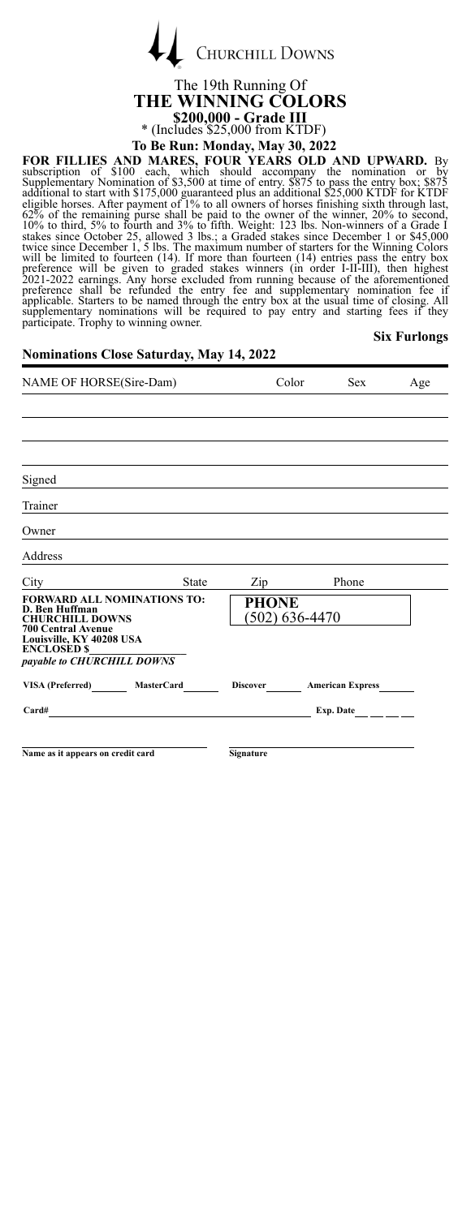

### The 19th Running Of **THE WINNING COLORS \$200,000 - Grade III** \* (Includes \$25,000 from KTDF) **To Be Run: Monday, May 30, 2022**

FOR FILLIES AND MARES, FOUR YEARS OLD AND UPWARD. By<br>subscription of \$100 each, which should accompany the nomination or by<br>Supplementary Nomination of 53,500 at time of entry. \$875 to pass the entry box; \$875<br>additional t applementary nominations will be required to pay entry and starting fees if participate. Trophy to winning owner.

### **Six Furlongs**

#### **Nominations Close Saturday, May 14, 2022**

| NAME OF HORSE(Sire-Dam)                                                                                                                                                                     | Color             |                 | Sex            | Age                     |  |
|---------------------------------------------------------------------------------------------------------------------------------------------------------------------------------------------|-------------------|-----------------|----------------|-------------------------|--|
|                                                                                                                                                                                             |                   |                 |                |                         |  |
|                                                                                                                                                                                             |                   |                 |                |                         |  |
|                                                                                                                                                                                             |                   |                 |                |                         |  |
| Signed                                                                                                                                                                                      |                   |                 |                |                         |  |
| Trainer                                                                                                                                                                                     |                   |                 |                |                         |  |
| Owner                                                                                                                                                                                       |                   |                 |                |                         |  |
| Address                                                                                                                                                                                     |                   |                 |                |                         |  |
| City                                                                                                                                                                                        | <b>State</b>      | Zip             |                | Phone                   |  |
| <b>FORWARD ALL NOMINATIONS TO:</b><br>D. Ben Huffman<br><b>CHURCHILL DOWNS</b><br><b>700 Central Avenue</b><br>Louisville, KY 40208 USA<br><b>ENCLOSED \$</b><br>payable to CHURCHILL DOWNS |                   | <b>PHONE</b>    | (502) 636-4470 |                         |  |
| <b>VISA</b> (Preferred)                                                                                                                                                                     | <b>MasterCard</b> | <b>Discover</b> |                | <b>American Express</b> |  |
| Card#                                                                                                                                                                                       |                   |                 | Exp. Date      |                         |  |
|                                                                                                                                                                                             |                   |                 |                |                         |  |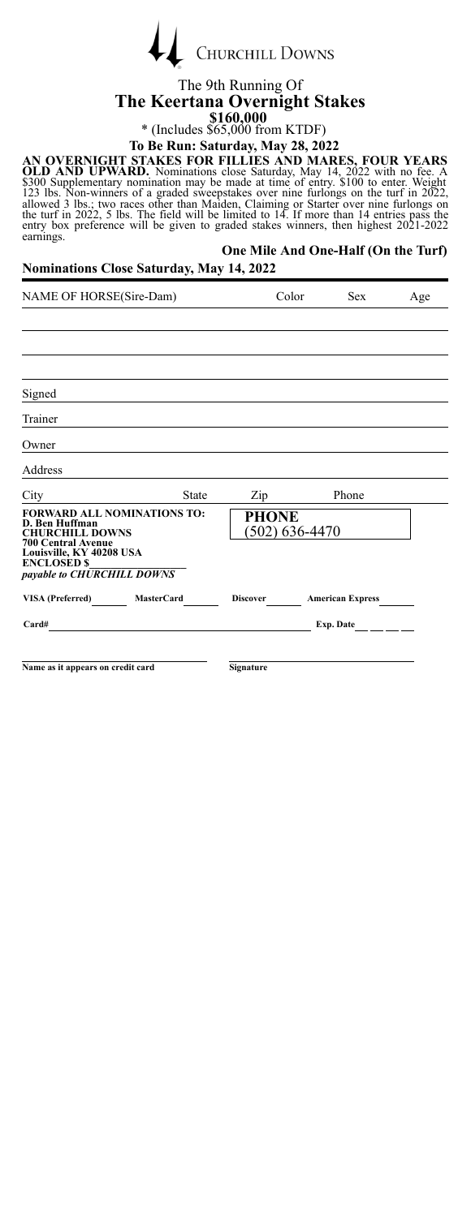|  | <b>CHURCHILL DOWNS</b> |
|--|------------------------|
|  |                        |

#### The 9th Running Of **The Keertana Overnight Stakes \$160,000** \* (Includes \$65,000 from KTDF)

# **To Be Run: Saturday, May 28, 2022**

AN OVERNIGHT STAKES FOR FILLIES AND MARES, FOUR YEARS<br>OLD AND UPWARD. Nominations close Saturday, May 14, 2022 with no fee. A<br>5300 Supplementary nomination may be made at time of entry. \$1000 to enter. Weight<br>123 lbs. Nonearnings.

#### **One Mile And One-Half (On the Turf) Nominations Close Saturday, May 14, 2022**

| NAME OF HORSE(Sire-Dam)                                                                                                         |              | Color        | <b>Sex</b>                            | Age |
|---------------------------------------------------------------------------------------------------------------------------------|--------------|--------------|---------------------------------------|-----|
|                                                                                                                                 |              |              |                                       |     |
|                                                                                                                                 |              |              |                                       |     |
|                                                                                                                                 |              |              |                                       |     |
| Signed                                                                                                                          |              |              |                                       |     |
| Trainer                                                                                                                         |              |              |                                       |     |
| Owner                                                                                                                           |              |              |                                       |     |
| Address                                                                                                                         |              |              |                                       |     |
| City                                                                                                                            | <b>State</b> | Zip          | Phone                                 |     |
| <b>FORWARD ALL NOMINATIONS TO:</b><br>D. Ben Huffman<br><b>CHURCHILL DOWNS</b>                                                  |              | <b>PHONE</b> | (502) 636-4470                        |     |
| <b>700 Central Avenue</b><br>Louisville, KY 40208 USA<br><b>ENCLOSED \$</b>                                                     |              |              |                                       |     |
| payable to CHURCHILL DOWNS                                                                                                      |              |              |                                       |     |
| VISA (Preferred) MasterCard                                                                                                     |              |              | Discover <b>American Express</b>      |     |
| Card#<br><u> 1980 - Jan Samuel Barbara, margaret e populazion del control del control del control del control del control d</u> |              |              | Exp. Date $\qquad \qquad \_ \_ \_ \_$ |     |
|                                                                                                                                 |              |              |                                       |     |
| Name as it appears on credit card                                                                                               |              | Signature    |                                       |     |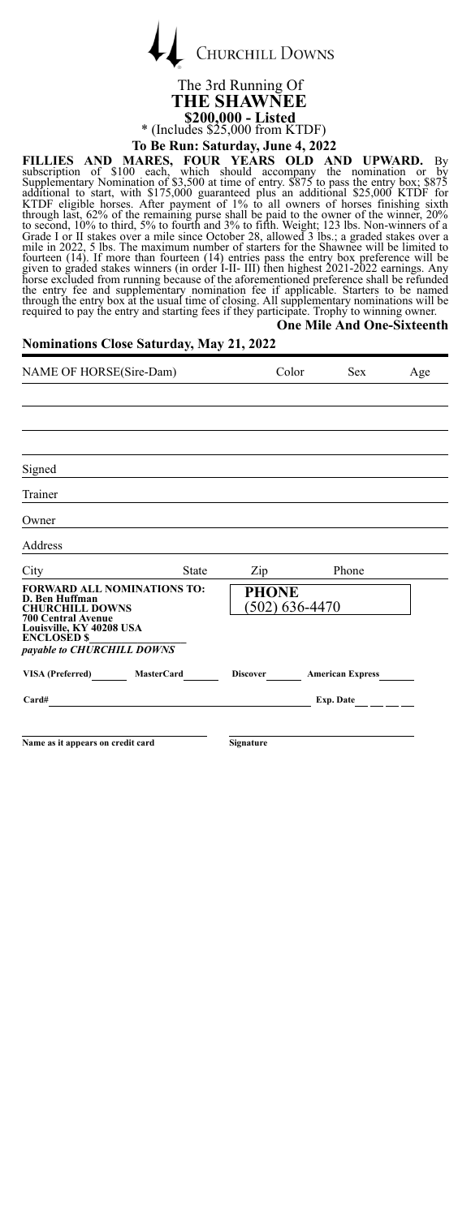

The 3rd Running Of **THE SHAWNEE \$200,000 - Listed** \* (Includes \$25,000 from KTDF) **To Be Run: Saturday, June 4, 2022**

**FILLIES AND MARES, FOUR YEARS OLD AND UPWARD.** By<br>subscription of \$100 each, which should accompany the nomination or by<br>Supplementary Nomination of \$3,500 at time of entry. \$875 to pass the entry box; \$875<br>additional to **One Mile And One-Sixteenth**

| <b>Nominations Close Saturday, May 21, 2022</b> |  |  |  |
|-------------------------------------------------|--|--|--|
|                                                 |  |  |  |

| NAME OF HORSE(Sire-Dam)                                                                                     |                                                                                 |                             | Color | <b>Sex</b>                       | Age |
|-------------------------------------------------------------------------------------------------------------|---------------------------------------------------------------------------------|-----------------------------|-------|----------------------------------|-----|
|                                                                                                             |                                                                                 |                             |       |                                  |     |
|                                                                                                             |                                                                                 |                             |       |                                  |     |
|                                                                                                             |                                                                                 |                             |       |                                  |     |
| Signed                                                                                                      |                                                                                 |                             |       |                                  |     |
| Trainer                                                                                                     |                                                                                 |                             |       |                                  |     |
| Owner                                                                                                       |                                                                                 |                             |       |                                  |     |
| Address                                                                                                     | the contract of the contract of the contract of the contract of the contract of |                             |       |                                  |     |
| City                                                                                                        | State                                                                           | $\mathbf{Zip}$              |       | Phone                            |     |
| <b>FORWARD ALL NOMINATIONS TO:</b><br>D. Ben Huffman<br><b>CHURCHILL DOWNS</b><br><b>700 Central Avenue</b> |                                                                                 | PHONE<br>$(502) 636 - 4470$ |       |                                  |     |
| Louisville, KY 40208 USA<br><b>ENCLOSED \$</b><br>payable to CHURCHILL DOWNS                                |                                                                                 |                             |       |                                  |     |
| VISA (Preferred) MasterCard                                                                                 |                                                                                 |                             |       | Discover <b>American Express</b> |     |
| Card#                                                                                                       |                                                                                 |                             |       | Exp. Date $\frac{1}{1}$          |     |
|                                                                                                             |                                                                                 |                             |       |                                  |     |
| Name as it appears on credit card                                                                           |                                                                                 | <b>Signature</b>            |       |                                  |     |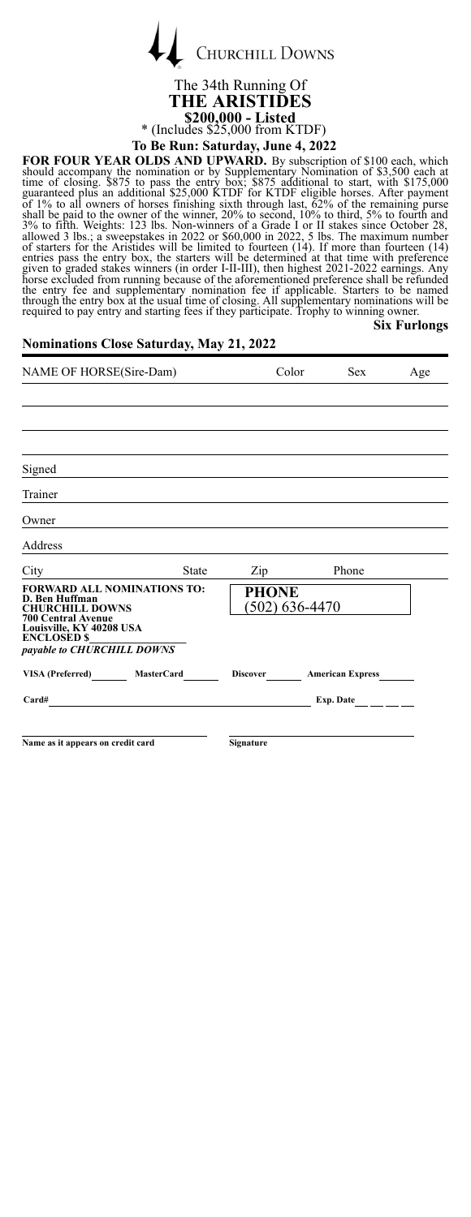

### The 34th Running Of **THE ARISTIDES \$200,000 - Listed** \* (Includes \$25,000 from KTDF)

**To Be Run: Saturday, June 4, 2022**

FOR FOUR YEAR OLDS AND UPWARD. By subscription of \$100 each, which<br>should accompany the nomination or by Supplementary Nomination of \$3,500 each at<br>time of closing. \$875 to pass the entry box; \$875 additional to start, wit **Six Furlongs**

| <b>Nominations Close Saturday, May 21, 2022</b>                                                                                                                                             |              |                                    |  |                           |     |  |  |
|---------------------------------------------------------------------------------------------------------------------------------------------------------------------------------------------|--------------|------------------------------------|--|---------------------------|-----|--|--|
| NAME OF HORSE(Sire-Dam)                                                                                                                                                                     |              | Color                              |  | <b>Sex</b>                | Age |  |  |
|                                                                                                                                                                                             |              |                                    |  |                           |     |  |  |
|                                                                                                                                                                                             |              |                                    |  |                           |     |  |  |
| Signed                                                                                                                                                                                      |              |                                    |  |                           |     |  |  |
| Trainer                                                                                                                                                                                     |              |                                    |  |                           |     |  |  |
| Owner                                                                                                                                                                                       |              |                                    |  |                           |     |  |  |
| Address                                                                                                                                                                                     |              |                                    |  |                           |     |  |  |
| City                                                                                                                                                                                        | <b>State</b> | Zip                                |  | Phone                     |     |  |  |
| <b>FORWARD ALL NOMINATIONS TO:</b><br>D. Ben Huffman<br><b>CHURCHILL DOWNS</b><br><b>700 Central Avenue</b><br>Louisville, KY 40208 USA<br><b>ENCLOSED \$</b><br>payable to CHURCHILL DOWNS |              | <b>PHONE</b><br>$(502) 636 - 4470$ |  |                           |     |  |  |
| VISA (Preferred) MasterCard                                                                                                                                                                 |              |                                    |  | Discover American Express |     |  |  |
| Card#                                                                                                                                                                                       |              |                                    |  | Exp. Date                 |     |  |  |
| Name as it appears on credit card                                                                                                                                                           |              | Signature                          |  |                           |     |  |  |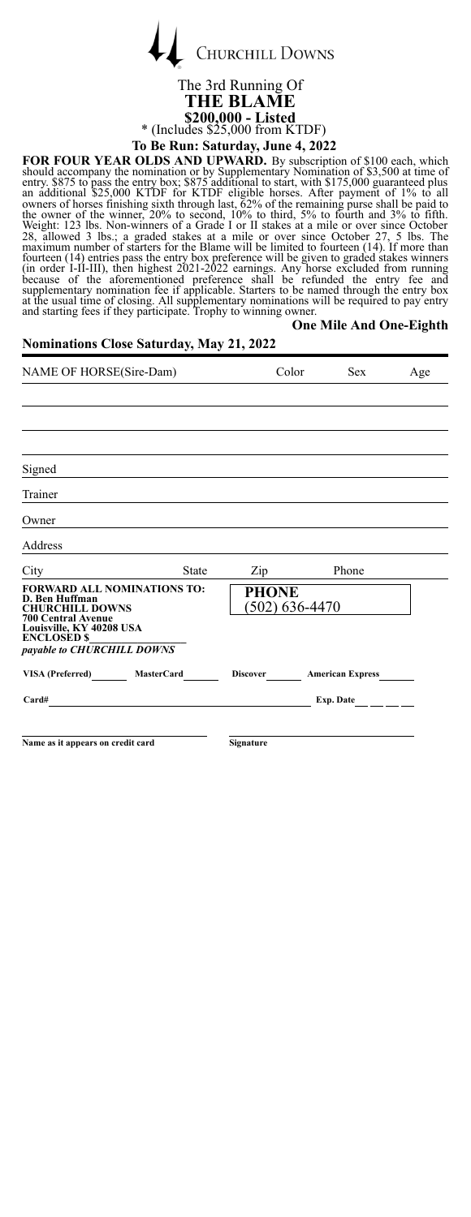**CHURCHILL DOWNS** 

### The 3rd Running Of **THE BLAME \$200,000 - Listed** \* (Includes \$25,000 from KTDF) **To Be Run: Saturday, June 4, 2022**

FOR FOUR YEAR OLDS AND UPWARD. By subscription of \$100 each, which<br>should accompany the nomination or by Supplementary Nomination of \$3,500 at time of<br>entry. \$875 to pass the entry box; \$875 diffusional to start, with \$175 **One Mile And One-Eighth**

| <b>Nominations Close Saturday, May 21, 2022</b>                                                                                                                                             |              |                                  |     |  |  |  |  |
|---------------------------------------------------------------------------------------------------------------------------------------------------------------------------------------------|--------------|----------------------------------|-----|--|--|--|--|
| NAME OF HORSE(Sire-Dam)                                                                                                                                                                     | Color        | <b>Sex</b>                       | Age |  |  |  |  |
|                                                                                                                                                                                             |              |                                  |     |  |  |  |  |
|                                                                                                                                                                                             |              |                                  |     |  |  |  |  |
| Signed                                                                                                                                                                                      |              |                                  |     |  |  |  |  |
| Trainer                                                                                                                                                                                     |              |                                  |     |  |  |  |  |
| Owner                                                                                                                                                                                       |              |                                  |     |  |  |  |  |
| Address                                                                                                                                                                                     |              |                                  |     |  |  |  |  |
| City<br><b>State</b>                                                                                                                                                                        | Zip_         | Phone                            |     |  |  |  |  |
| <b>FORWARD ALL NOMINATIONS TO:</b><br>D. Ben Huffman<br><b>CHURCHILL DOWNS</b><br><b>700 Central Avenue</b><br>Louisville, KY 40208 USA<br><b>ENCLOSED \$</b><br>payable to CHURCHILL DOWNS | <b>PHONE</b> | (502) 636-4470                   |     |  |  |  |  |
| VISA (Preferred) MasterCard                                                                                                                                                                 |              | Discover American Express        |     |  |  |  |  |
| Card#                                                                                                                                                                                       |              | Exp. Date $\qquad \qquad \qquad$ |     |  |  |  |  |
| Name as it appears on credit card                                                                                                                                                           | Signature    |                                  |     |  |  |  |  |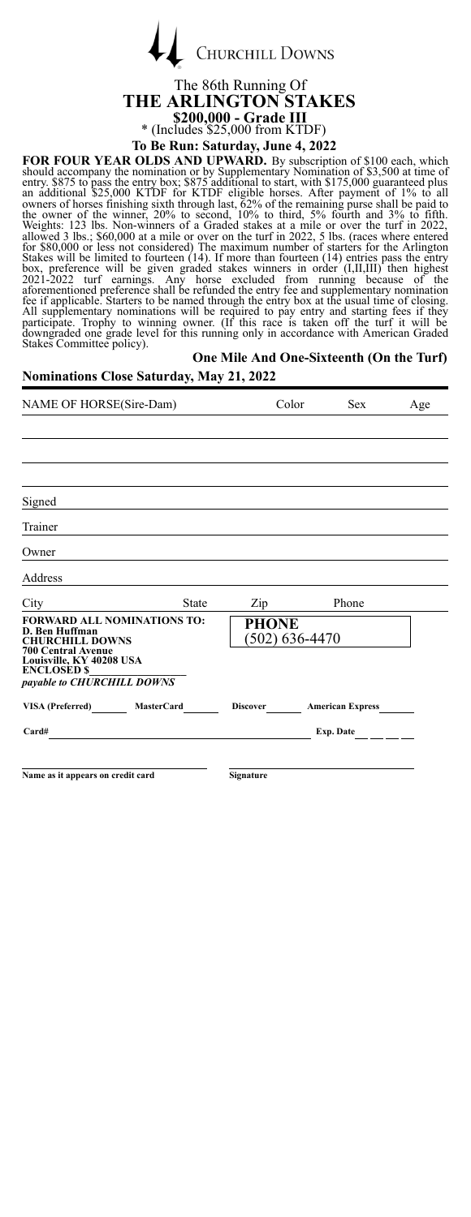| <b>CHURCHILL DOWNS</b> |
|------------------------|
|                        |

Ï

# The 86th Running Of **THE ARLINGTON STAKES \$200,000 - Grade III** \* (Includes \$25,000 from KTDF)

**To Be Run: Saturday, June 4, 2022**

**FOR FOUR YEAR OLDS AND UPWARD.** By subscription of \$100 each, which should accompany the nomination or by Supplementary Nomination of \$3,500 at time of entry box, \$875 to pass the entry box, \$875 comparted plus start, wi participate. Trophy to winning owner. (If this race is taken off the turf it will be downgraded one grade level for this running only in accordance with American Graded Stakes Committee policy).

#### **One Mile And One-Sixteenth (On the Turf) Nominations Close Saturday, May 21, 2022**

| NAME OF HORSE(Sire-Dam)                                                                                                                                       |              | Color          | <b>Sex</b>                | Age |
|---------------------------------------------------------------------------------------------------------------------------------------------------------------|--------------|----------------|---------------------------|-----|
|                                                                                                                                                               |              |                |                           |     |
|                                                                                                                                                               |              |                |                           |     |
|                                                                                                                                                               |              |                |                           |     |
| Signed                                                                                                                                                        |              |                |                           |     |
| Trainer                                                                                                                                                       |              |                |                           |     |
| Owner                                                                                                                                                         |              |                |                           |     |
| Address                                                                                                                                                       |              |                |                           |     |
| City City                                                                                                                                                     | <b>State</b> | $\mathsf{Zip}$ | Phone                     |     |
| <b>FORWARD ALL NOMINATIONS TO:</b><br>D. Ben Huffman<br><b>CHURCHILL DOWNS</b><br><b>700 Central Avenue</b><br>Louisville, KY 40208 USA<br><b>ENCLOSED \$</b> |              | <b>PHONE</b>   | $(502)$ 636-4470          |     |
| payable to CHURCHILL DOWNS                                                                                                                                    |              |                |                           |     |
| VISA (Preferred) MasterCard                                                                                                                                   |              |                | Discover American Express |     |
| Card#                                                                                                                                                         |              |                | Exp. Date                 |     |
|                                                                                                                                                               |              |                |                           |     |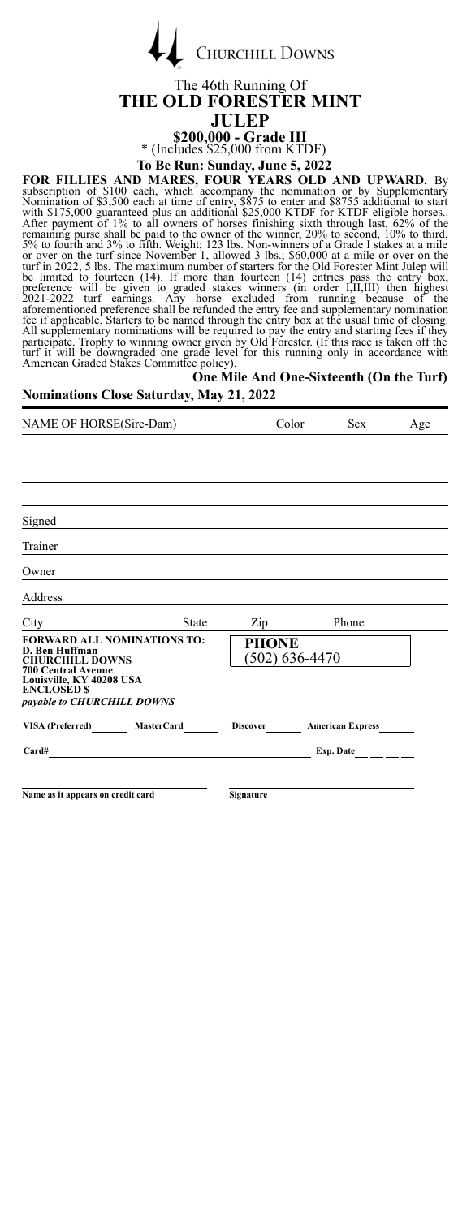| <b>CHURCHILL DOWNS</b> |
|------------------------|

 $\overline{1}$ 

#### The 46th Running Of **THE OLD FORESTER MINT JULEP \$200,000 - Grade III**

\* (Includes \$25,000 from KTDF) **To Be Run: Sunday, June 5, 2022**

FOR FILLIES AND MARES, FOUR YEARS OLD AND UPWARD. By<br>subscription of \$1,00 each, which accompany the nomination or by Suplementary<br>Nomination of \$3,500 each, at time of entry, \$875 to enter and \$8755 additional to start<br>wi American Graded Stakes Committee policy).<br>**One Mile And One-Sixteenth (On the Turf)** 

# **Nominations Close Saturday, May 21, 2022**

# NAME OF HORSE(Sire-Dam) Color Sex Age Signed Trainer Owner Address City State Zip Phone **FORWARD ALL NOMINATIONS TO: D. Ben Huffman CHURCHILL DOWNS** 700 Central Avenue<br>Louisville, KY 40208 USA<br>ENCLOSED \$ *payable to CHURCHILL DOWNS* **PHONE** (502) 636-4470 **VISA (Preferred) MasterCard Discover American Express Card# Exp. Date Name as it appears on credit card Signature**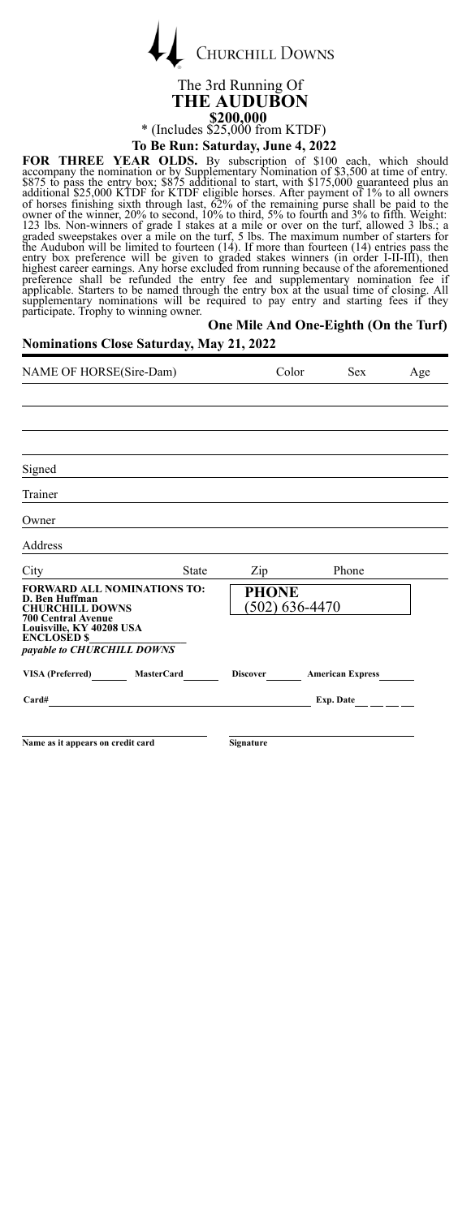|  | <b>CHURCHILL DOWNS</b> |
|--|------------------------|
|  |                        |

Ï

#### The 3rd Running Of **THE AUDUBON \$200,000** \* (Includes \$25,000 from KTDF) **To Be Run: Saturday, June 4, 2022**

**FOR THREE YEAR OLDS.** By subscription of \$100 each, which should accompany the nomination or by Supplementary Nomination of \$3,500 at time of entry.<br>S875 to pass the entry box; \$875 additional to start, with \$175,000 guar

| One Mile And One-Eighth (On the Turf)<br><b>Nominations Close Saturday, May 21, 2022</b>                                                                                                    |                  |                           |     |  |  |
|---------------------------------------------------------------------------------------------------------------------------------------------------------------------------------------------|------------------|---------------------------|-----|--|--|
| NAME OF HORSE(Sire-Dam)                                                                                                                                                                     |                  | Color<br><b>Sex</b>       | Age |  |  |
|                                                                                                                                                                                             |                  |                           |     |  |  |
| Signed                                                                                                                                                                                      |                  |                           |     |  |  |
| Trainer                                                                                                                                                                                     |                  |                           |     |  |  |
| Owner                                                                                                                                                                                       |                  |                           |     |  |  |
| Address                                                                                                                                                                                     |                  |                           |     |  |  |
| City State                                                                                                                                                                                  |                  | Zip Phone                 |     |  |  |
| <b>FORWARD ALL NOMINATIONS TO:</b><br>D. Ben Huffman<br><b>CHURCHILL DOWNS</b><br><b>700 Central Avenue</b><br>Louisville, KY 40208 USA<br><b>ENCLOSED \$</b><br>payable to CHURCHILL DOWNS | PHONE            | $(502)$ 636-4470          |     |  |  |
| VISA (Preferred) MasterCard                                                                                                                                                                 |                  | Discover American Express |     |  |  |
| $Card#$ Exp. Date $\_\_\_\_\_\_\_\_\_\_\_\_\_\_\_\_\_$                                                                                                                                      |                  |                           |     |  |  |
| Name as it appears on credit card                                                                                                                                                           | <b>Signature</b> |                           |     |  |  |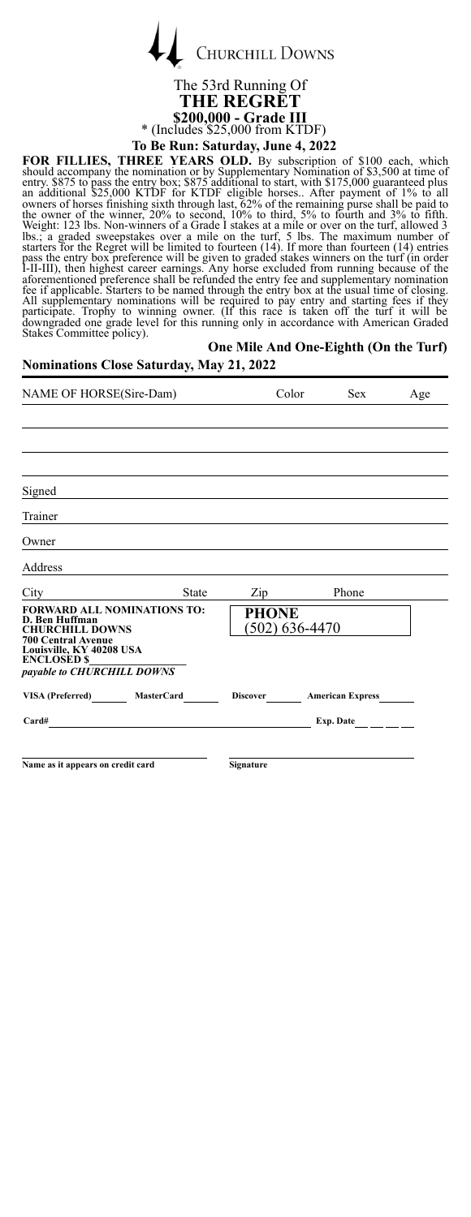|  | <b>CHURCHILL DOWNS</b> |
|--|------------------------|
|  |                        |

### The 53rd Running Of **THE REGRET \$200,000 - Grade III** \* (Includes \$25,000 from KTDF) **To Be Run: Saturday, June 4, 2022**

FOR FILLIES, THREE YEARS OLD. By subscription of \$100 each, which should accompany the nomination or by Suplementary Nomination of \$3,500 at time of the entry 8.875 to pass the entry box; \$875 additional to start, with \$17

|  | One Mile And One-Eighth (On the Turf) |  |
|--|---------------------------------------|--|
|  |                                       |  |

| <b>Nominations Close Saturday, May 21, 2022</b>                                                                                                                                             |              |                                |            |                                  |  |
|---------------------------------------------------------------------------------------------------------------------------------------------------------------------------------------------|--------------|--------------------------------|------------|----------------------------------|--|
| NAME OF HORSE(Sire-Dam)                                                                                                                                                                     |              | Color                          | <b>Sex</b> | Age                              |  |
|                                                                                                                                                                                             |              |                                |            |                                  |  |
|                                                                                                                                                                                             |              |                                |            |                                  |  |
| Signed                                                                                                                                                                                      |              |                                |            |                                  |  |
| Trainer                                                                                                                                                                                     |              |                                |            |                                  |  |
| Owner                                                                                                                                                                                       |              |                                |            |                                  |  |
| Address                                                                                                                                                                                     |              |                                |            |                                  |  |
| City                                                                                                                                                                                        | <b>State</b> | Zip                            |            | Phone                            |  |
| <b>FORWARD ALL NOMINATIONS TO:</b><br>D. Ben Huffman<br><b>CHURCHILL DOWNS</b><br><b>700 Central Avenue</b><br>Louisville, KY 40208 USA<br><b>ENCLOSED \$</b><br>payable to CHURCHILL DOWNS |              | <b>PHONE</b><br>(502) 636-4470 |            |                                  |  |
| VISA (Preferred) MasterCard                                                                                                                                                                 |              |                                |            | Discover <b>American Express</b> |  |
| Card#                                                                                                                                                                                       |              |                                |            | Exp. Date                        |  |
| Name as it appears on credit card                                                                                                                                                           |              | Signature                      |            |                                  |  |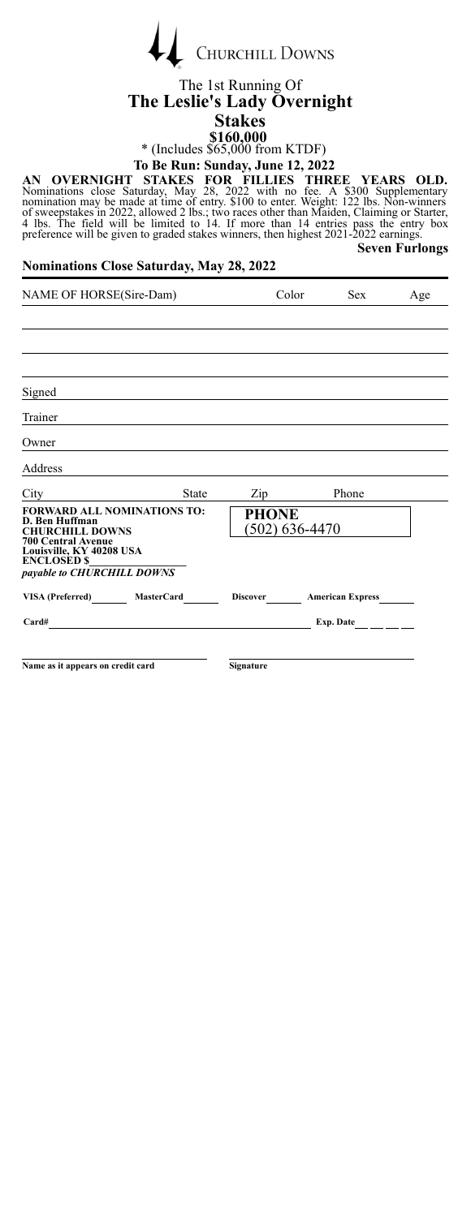| <b>CHURCHILL DOWNS</b> |
|------------------------|

#### The 1st Running Of **The Leslie's Lady Overnight Stakes \$160,000**

\* (Includes \$65,000 from KTDF) **To Be Run: Sunday, June 12, 2022**

AN OVERNIGHT STAKES FOR FILLIES THREE YEARS OLD.<br>Nominations close Saturday, May 28, 2022 with no fee. A \$300 Supplementary<br>nomination may be made at time of entry. \$100 to enter. Weight: 122 lbs. Non-winners<br>of sweepstake **Seven Furlongs**

#### **Nominations Close Saturday, May 28, 2022**

| NAME OF HORSE(Sire-Dam)                                                                                     | Color                   | Sex.                                             | Age |
|-------------------------------------------------------------------------------------------------------------|-------------------------|--------------------------------------------------|-----|
|                                                                                                             |                         |                                                  |     |
|                                                                                                             |                         |                                                  |     |
|                                                                                                             |                         |                                                  |     |
| Signed                                                                                                      |                         |                                                  |     |
| Trainer                                                                                                     |                         |                                                  |     |
| Owner                                                                                                       |                         |                                                  |     |
| Address                                                                                                     |                         |                                                  |     |
| State<br>City                                                                                               | Zip                     | Phone                                            |     |
| <b>FORWARD ALL NOMINATIONS TO:</b><br>D. Ben Huffman<br><b>CHURCHILL DOWNS</b><br><b>700 Central Avenue</b> | PHONE<br>(502) 636-4470 |                                                  |     |
| Louisville, KY 40208 USA<br><b>ENCLOSED \$</b><br>payable to CHURCHILL DOWNS                                |                         |                                                  |     |
| <b>MasterCard</b><br>VISA (Preferred)                                                                       | Discover                | <b>American Express</b>                          |     |
| Card#                                                                                                       |                         | Exp. Date $\qquad \qquad \boxed{\qquad \qquad }$ |     |
|                                                                                                             |                         |                                                  |     |
| Name as it appears on credit card                                                                           | <b>Signature</b>        |                                                  |     |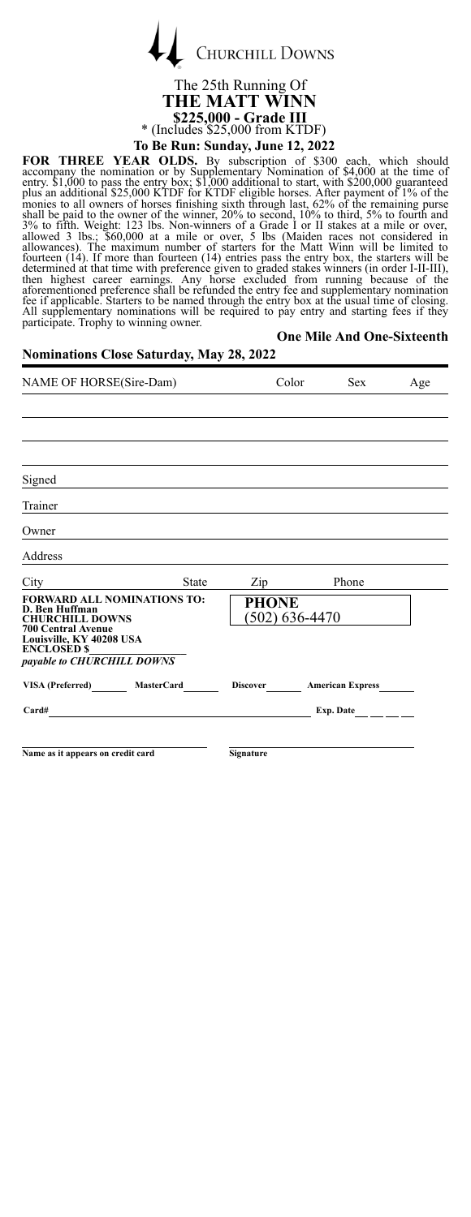

The 25th Running Of **THE MATT WINN \$225,000 - Grade III** \* (Includes \$25,000 from KTDF) **To Be Run: Sunday, June 12, 2022**

**FOR THREE YEAR OLDS.** By subscription of \$300 each, which should<br>accompany the nomination or by Supplementary Nomination of \$4,000 at the time of<br>entry. \$1,000 to pass the entry box; \$1,000 additional to start, with \$200, For a approach. State is to or allow another hand in the state with the state interventing the required to pay entry and starting fees if they participate. Trophy to winning owner.

|                                                 |  |  | O |
|-------------------------------------------------|--|--|---|
| <b>Nominations Close Saturday, May 28, 2022</b> |  |  |   |

# **One Mile And One-Sixteenth**

| NAME OF HORSE(Sire-Dam)                                                                                                                                                                     | Color                              | <b>Sex</b>              | Age |
|---------------------------------------------------------------------------------------------------------------------------------------------------------------------------------------------|------------------------------------|-------------------------|-----|
|                                                                                                                                                                                             |                                    |                         |     |
|                                                                                                                                                                                             |                                    |                         |     |
|                                                                                                                                                                                             |                                    |                         |     |
| Signed                                                                                                                                                                                      |                                    |                         |     |
| Trainer                                                                                                                                                                                     |                                    |                         |     |
| Owner                                                                                                                                                                                       |                                    |                         |     |
| Address                                                                                                                                                                                     |                                    |                         |     |
| <b>State</b><br>City                                                                                                                                                                        | Zip                                | Phone                   |     |
| <b>FORWARD ALL NOMINATIONS TO:</b><br>D. Ben Huffman<br><b>CHURCHILL DOWNS</b><br><b>700 Central Avenue</b><br>Louisville, KY 40208 USA<br><b>ENCLOSED \$</b><br>payable to CHURCHILL DOWNS | <b>PHONE</b><br>$(502) 636 - 4470$ |                         |     |
| VISA (Preferred)<br><b>MasterCard</b>                                                                                                                                                       | <b>Discover</b>                    | <b>American Express</b> |     |
| Card#                                                                                                                                                                                       |                                    | Exp. Date               |     |
|                                                                                                                                                                                             |                                    |                         |     |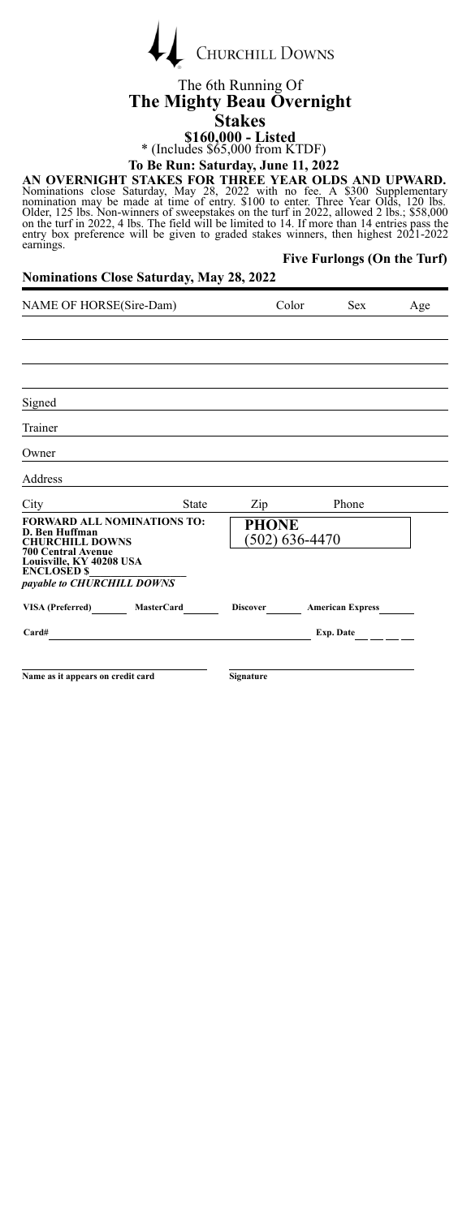| $\leftarrow$ | <b>CHURCHILL DOWNS</b> |
|--------------|------------------------|

### The 6th Running Of **The Mighty Beau Overnight Stakes**

**\$160,000 - Listed** \* (Includes \$65,000 from KTDF)

**To Be Run: Saturday, June 11, 2022**

**Five Furlongs (On the Turf)**

AN OVERNIGHT STAKES FOR THREE YEAR OLDS AND UPWARD.<br>Nominations close Saturday, May 28, 2022 with no fee. A \$300 Supplementary<br>nomination may be made at time of entry. \$100 to enter. Three Year Olds, 120 lbs.<br>Older, 125 lb

**Nominations Close Saturday, May 28, 2022**

| NAME OF HORSE(Sire-Dam)                                                        |       | Color                          | <b>Sex</b> | Age                     |  |
|--------------------------------------------------------------------------------|-------|--------------------------------|------------|-------------------------|--|
|                                                                                |       |                                |            |                         |  |
|                                                                                |       |                                |            |                         |  |
|                                                                                |       |                                |            |                         |  |
| Signed                                                                         |       |                                |            |                         |  |
| Trainer                                                                        |       |                                |            |                         |  |
| Owner                                                                          |       |                                |            |                         |  |
| Address                                                                        |       |                                |            |                         |  |
| City                                                                           | State | Zip                            |            | Phone                   |  |
| <b>FORWARD ALL NOMINATIONS TO:</b><br>D. Ben Huffman<br><b>CHURCHILL DOWNS</b> |       | <b>PHONE</b><br>(502) 636-4470 |            |                         |  |
| <b>700 Central Avenue</b><br>Louisville, KY 40208 USA<br><b>ENCLOSED \$</b>    |       |                                |            |                         |  |
| payable to CHURCHILL DOWNS                                                     |       |                                |            |                         |  |
| VISA (Preferred) MasterCard                                                    |       | <b>Discover</b>                |            | <b>American Express</b> |  |
| Card#                                                                          |       |                                |            | Exp. Date $\_\_$        |  |
|                                                                                |       |                                |            |                         |  |
| Name as it appears on credit card                                              |       | Signature                      |            |                         |  |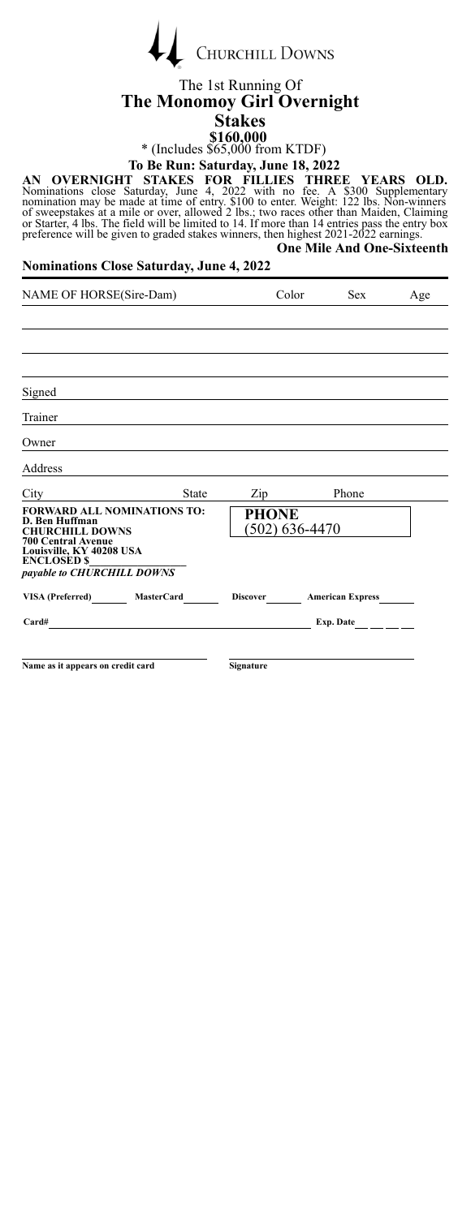| <b>CHURCHILL DOWNS</b> |
|------------------------|
|                        |

#### The 1st Running Of **The Monomoy Girl Overnight Stakes \$160,000**

\* (Includes \$65,000 from KTDF) **To Be Run: Saturday, June 18, 2022**

AN OVERNIGHT STAKES FOR FILLIES THREE YEARS OLD.<br>Nominations close Saturday, June 4, 2022 with no fee. A \$300 Supplementary<br>nomination may be made at time of entry. \$100 to enter. Weight: 122 lbs. Non-winners<br>of sweepstake **One Mile And One-Sixteenth**

#### **Nominations Close Saturday, June 4, 2022**

| NAME OF HORSE(Sire-Dam)                                                                                     | Color        |                  | <b>Sex</b>     | Age                                              |  |
|-------------------------------------------------------------------------------------------------------------|--------------|------------------|----------------|--------------------------------------------------|--|
|                                                                                                             |              |                  |                |                                                  |  |
|                                                                                                             |              |                  |                |                                                  |  |
|                                                                                                             |              |                  |                |                                                  |  |
| Signed                                                                                                      |              |                  |                |                                                  |  |
| Trainer                                                                                                     |              |                  |                |                                                  |  |
| Owner                                                                                                       |              |                  |                |                                                  |  |
| Address                                                                                                     |              |                  |                |                                                  |  |
| City                                                                                                        | <b>State</b> | Zip              |                | Phone                                            |  |
| <b>FORWARD ALL NOMINATIONS TO:</b><br>D. Ben Huffman<br><b>CHURCHILL DOWNS</b><br><b>700 Central Avenue</b> |              | <b>PHONE</b>     | (502) 636-4470 |                                                  |  |
| Louisville, KY 40208 USA<br><b>ENCLOSED \$</b><br>payable to CHURCHILL DOWNS                                |              |                  |                |                                                  |  |
| VISA (Preferred) MasterCard                                                                                 |              | <b>Discover</b>  |                | <b>American Express</b>                          |  |
| Card#<br>the contract of the contract of the contract of the contract of the contract of                    |              |                  |                | Exp. Date $\qquad \qquad \boxed{\qquad \qquad }$ |  |
|                                                                                                             |              |                  |                |                                                  |  |
| Name as it appears on credit card                                                                           |              | <b>Signature</b> |                |                                                  |  |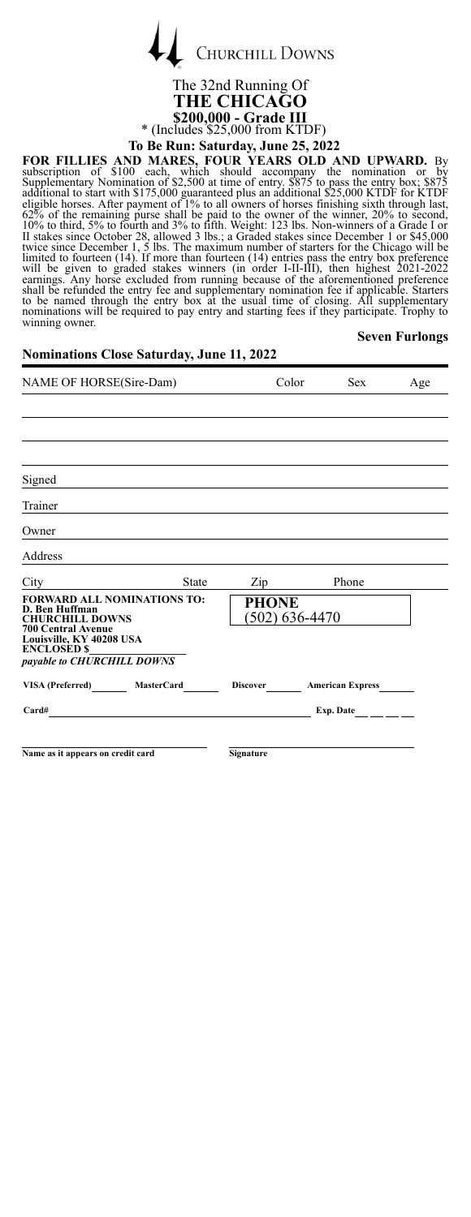

# The 32nd Running Of **THE CHICAGO \$200,000 - Grade III** \* (Includes \$25,000 from KTDF)

## **To Be Run: Saturday, June 25, 2022**

**Seven Furlongs**

FOR FILLIES AND MARES, FOUR YEARS OLD AND UPWARD. By<br>subscription of \$100 each, which should accompany the nomination or<br>Supplementary Nomination of \$2,500 at time of entry, \$875 to pass the entry box; \$875<br>additional to s

### **Nominations Close Saturday, June 11, 2022**

| NAME OF HORSE(Sire-Dam)                                                                                                                                                                     |              | Color                            | <b>Sex</b>              | Age |
|---------------------------------------------------------------------------------------------------------------------------------------------------------------------------------------------|--------------|----------------------------------|-------------------------|-----|
|                                                                                                                                                                                             |              |                                  |                         |     |
|                                                                                                                                                                                             |              |                                  |                         |     |
|                                                                                                                                                                                             |              |                                  |                         |     |
| Signed                                                                                                                                                                                      |              |                                  |                         |     |
| Trainer                                                                                                                                                                                     |              |                                  |                         |     |
| Owner                                                                                                                                                                                       |              |                                  |                         |     |
| Address                                                                                                                                                                                     |              |                                  |                         |     |
| City                                                                                                                                                                                        | <b>State</b> | Zip                              | Phone                   |     |
| <b>FORWARD ALL NOMINATIONS TO:</b><br>D. Ben Huffman<br><b>CHURCHILL DOWNS</b><br><b>700 Central Avenue</b><br>Louisville, KY 40208 USA<br><b>ENCLOSED \$</b><br>payable to CHURCHILL DOWNS |              | <b>PHONE</b><br>$(502)$ 636-4470 |                         |     |
| VISA (Preferred) MasterCard                                                                                                                                                                 |              | <b>Discover</b>                  | <b>American Express</b> |     |
| Card#                                                                                                                                                                                       |              |                                  | Exp. Date               |     |
|                                                                                                                                                                                             |              |                                  |                         |     |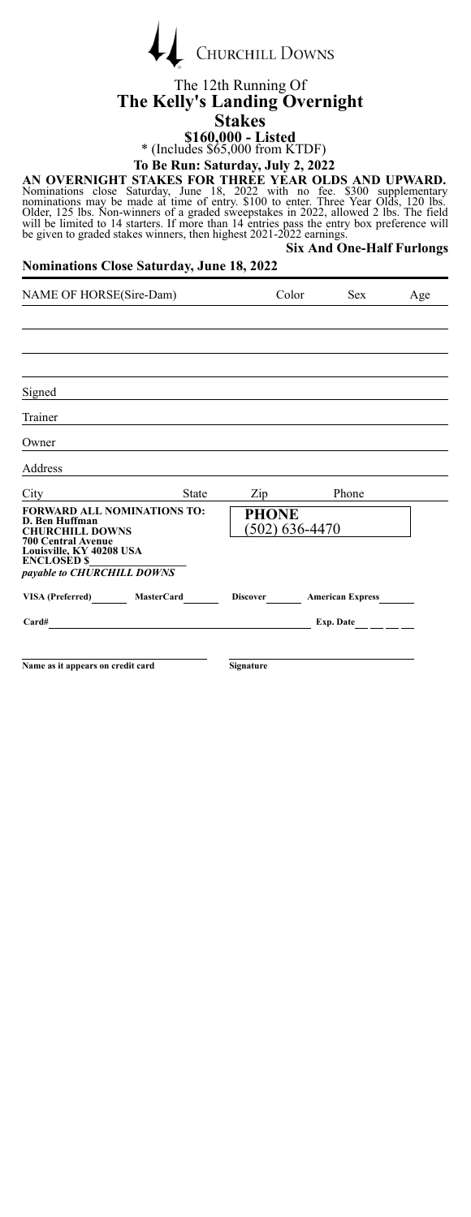| <b>CHURCHILL DOWNS</b> |
|------------------------|
|                        |

### The 12th Running Of **The Kelly's Landing Overnight Stakes**

**\$160,000 - Listed** \* (Includes \$65,000 from KTDF)

**To Be Run: Saturday, July 2, 2022**

AN OVERNIGHT STAKES FOR THREE YEAR OLDS AND UPWARD.<br>Nominations close Saturday, June 18, 2022 with no fee. \$300 supplementary<br>nominations may be made at time of entry. \$100 to enter. Three Year Olds, 120 lbs.<br>Older, 125 lb **Six And One-Half Furlongs**

#### **Nominations Close Saturday, June 18, 2022**

 $\overline{1}$ 

| NAME OF HORSE(Sire-Dam)                                                                                                                                                                                                                       |                   | Color           |                | Sex                     | Age |
|-----------------------------------------------------------------------------------------------------------------------------------------------------------------------------------------------------------------------------------------------|-------------------|-----------------|----------------|-------------------------|-----|
|                                                                                                                                                                                                                                               |                   |                 |                |                         |     |
|                                                                                                                                                                                                                                               |                   |                 |                |                         |     |
|                                                                                                                                                                                                                                               |                   |                 |                |                         |     |
| Signed                                                                                                                                                                                                                                        |                   |                 |                |                         |     |
| Trainer                                                                                                                                                                                                                                       |                   |                 |                |                         |     |
| Owner                                                                                                                                                                                                                                         |                   |                 |                |                         |     |
| Address                                                                                                                                                                                                                                       |                   |                 |                |                         |     |
| City                                                                                                                                                                                                                                          | <b>State</b>      | Zip             | Phone          |                         |     |
| <b>FORWARD ALL NOMINATIONS TO:</b><br>D. Ben Huffman<br><b>CHURCHILL DOWNS</b>                                                                                                                                                                |                   | <b>PHONE</b>    | (502) 636-4470 |                         |     |
| <b>700 Central Avenue</b><br>Louisville, KY 40208 USA<br><b>ENCLOSED \$</b><br>payable to CHURCHILL DOWNS                                                                                                                                     |                   |                 |                |                         |     |
| VISA (Preferred)                                                                                                                                                                                                                              | <b>MasterCard</b> | <b>Discover</b> |                | <b>American Express</b> |     |
| Card#<br><u>and the state of the state of the state of the state of the state of the state of the state of the state of the state of the state of the state of the state of the state of the state of the state of the state of the state</u> |                   |                 |                | Exp. Date               |     |
|                                                                                                                                                                                                                                               |                   |                 |                |                         |     |
| Name as it appears on credit card                                                                                                                                                                                                             |                   | Signature       |                |                         |     |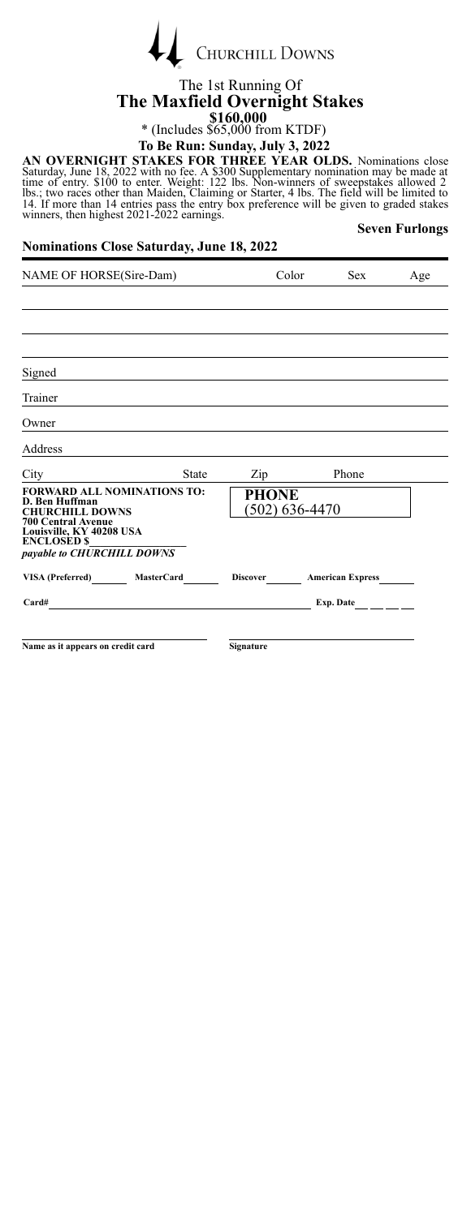

### The 1st Running Of **The Maxfield Overnight Stakes \$160,000**<br>
\* (Includes \$65,000 from KTDF) **To Be Run: Sunday, July 3, 2022**

AN OVERNIGHT STAKES FOR THREE YEAR OLDS. Nominations close<br>Saturday, June 18, 2022 with no fee. A \$300 Supplementary nomination may be made at<br>time of entry. \$100 to enter. Weight: 122 lbs. Non-winners of sweepstakes allow

#### **Nominations Close Saturday, June 18, 2022**

**Seven Furlongs**

| NAME OF HORSE(Sire-Dam)                                                                                                                                       | Color                   | <b>Sex</b>              | Age |
|---------------------------------------------------------------------------------------------------------------------------------------------------------------|-------------------------|-------------------------|-----|
|                                                                                                                                                               |                         |                         |     |
|                                                                                                                                                               |                         |                         |     |
|                                                                                                                                                               |                         |                         |     |
| Signed                                                                                                                                                        |                         |                         |     |
| Trainer                                                                                                                                                       |                         |                         |     |
| Owner                                                                                                                                                         |                         |                         |     |
| Address                                                                                                                                                       |                         |                         |     |
| <b>State</b><br>$City \_$                                                                                                                                     | $\mathsf{Zip}$          | Phone                   |     |
| <b>FORWARD ALL NOMINATIONS TO:</b><br>D. Ben Huffman<br><b>CHURCHILL DOWNS</b><br><b>700 Central Avenue</b><br>Louisville, KY 40208 USA<br><b>ENCLOSED \$</b> | PHONE<br>(502) 636-4470 |                         |     |
| payable to CHURCHILL DOWNS                                                                                                                                    |                         |                         |     |
| VISA (Preferred) MasterCard                                                                                                                                   | <b>Discover</b>         | <b>American Express</b> |     |
| Card#                                                                                                                                                         |                         | Exp. Date _____         |     |
| Name as it appears on credit card                                                                                                                             | <b>Signature</b>        |                         |     |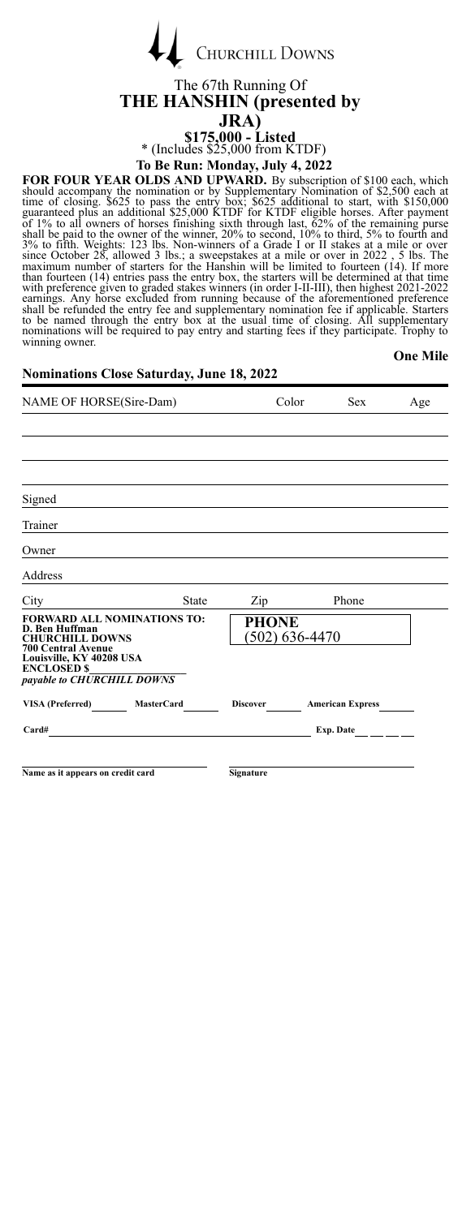| <b>CHURCHILL DOWNS</b> |
|------------------------|

### The 67th Running Of **THE HANSHIN (presented by JRA) \$175,000 - Listed** \* (Includes \$25,000 from KTDF)

**To Be Run: Monday, July 4, 2022**

**FOR FOUR YEAR OLDS AND UPWARD.** By subscription of \$100 each, which should accompany the nomination or by Supplementary Nomination of \$2,500 each at the stress dentity of solid parameted plus an additional \$25,000 KTDF f nominations will be required to pay entry and starting fees if they participate. Trophy to winning owner. **One Mile**

#### **Nominations Close Saturday, June 18, 2022**

 $\overline{1}$ 

| NAME OF HORSE(Sire-Dam)                                                                                                                                                                     | Color | <b>Sex</b>                       | Age                       |  |
|---------------------------------------------------------------------------------------------------------------------------------------------------------------------------------------------|-------|----------------------------------|---------------------------|--|
|                                                                                                                                                                                             |       |                                  |                           |  |
|                                                                                                                                                                                             |       |                                  |                           |  |
|                                                                                                                                                                                             |       |                                  |                           |  |
| Signed                                                                                                                                                                                      |       |                                  |                           |  |
| Trainer                                                                                                                                                                                     |       |                                  |                           |  |
| Owner                                                                                                                                                                                       |       |                                  |                           |  |
| Address                                                                                                                                                                                     |       |                                  |                           |  |
| City                                                                                                                                                                                        | State | Zip                              | Phone                     |  |
| <b>FORWARD ALL NOMINATIONS TO:</b><br>D. Ben Huffman<br><b>CHURCHILL DOWNS</b><br><b>700 Central Avenue</b><br>Louisville, KY 40208 USA<br><b>ENCLOSED \$</b><br>payable to CHURCHILL DOWNS |       | <b>PHONE</b><br>$(502)$ 636-4470 |                           |  |
| VISA (Preferred) MasterCard                                                                                                                                                                 |       |                                  | Discover American Express |  |
| Card#                                                                                                                                                                                       |       |                                  | Exp. Date                 |  |
|                                                                                                                                                                                             |       |                                  |                           |  |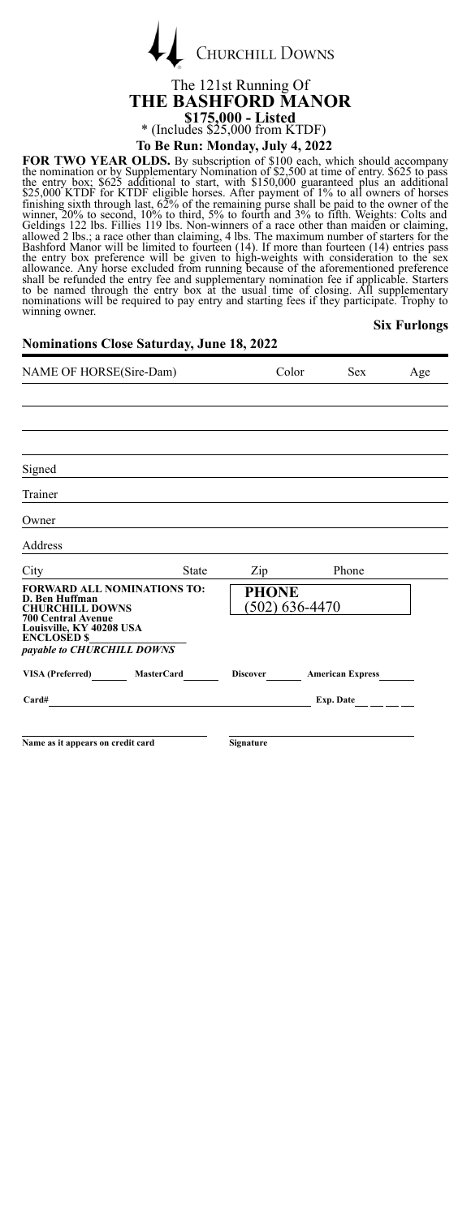| <b>CHURCHILL DOWNS</b> |
|------------------------|
|                        |

### The 121st Running Of **THE BASHFORD MANOR \$175,000 - Listed** \* (Includes \$25,000 from KTDF) **To Be Run: Monday, July 4, 2022**

**FOR TWO YEAR OLDS.** By subscription of \$100 each, which should accompany the nomination or by Supplementary Nomination of \$2,500 at time of entry. \$625 to pass the entry box; \$625 additional to start, with \$150,000 guaran **Six Furlongs**

| <b>Nominations Close Saturday, June 18, 2022</b>                                                                                                                                            |       |                                    |       |                         |     |
|---------------------------------------------------------------------------------------------------------------------------------------------------------------------------------------------|-------|------------------------------------|-------|-------------------------|-----|
| NAME OF HORSE(Sire-Dam)                                                                                                                                                                     |       |                                    | Color | <b>Sex</b>              | Age |
|                                                                                                                                                                                             |       |                                    |       |                         |     |
| Signed                                                                                                                                                                                      |       |                                    |       |                         |     |
| Trainer                                                                                                                                                                                     |       |                                    |       |                         |     |
| Owner                                                                                                                                                                                       |       |                                    |       |                         |     |
| Address                                                                                                                                                                                     |       |                                    |       |                         |     |
| City                                                                                                                                                                                        | State | Zip                                |       | Phone                   |     |
| <b>FORWARD ALL NOMINATIONS TO:</b><br>D. Ben Huffman<br><b>CHURCHILL DOWNS</b><br><b>700 Central Avenue</b><br>Louisville, KY 40208 USA<br><b>ENCLOSED \$</b><br>payable to CHURCHILL DOWNS |       | <b>PHONE</b><br>$(502) 636 - 4470$ |       |                         |     |
| VISA (Preferred) MasterCard                                                                                                                                                                 |       | <b>Discover</b>                    |       | <b>American Express</b> |     |
| Card#<br>the contract of the contract of the contract of the contract of the contract of the contract of the contract of                                                                    |       |                                    |       | Exp. Date               |     |
| Name as it appears on credit card                                                                                                                                                           |       | Signature                          |       |                         |     |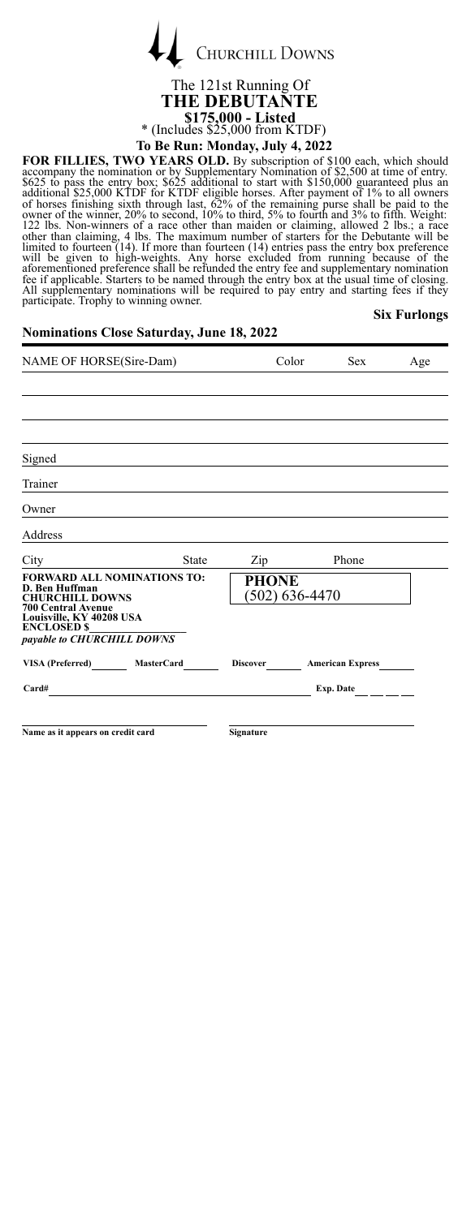

# **THE DEBUTANTE \$175,000 - Listed** \* (Includes \$25,000 from KTDF)

**To Be Run: Monday, July 4, 2022**

**FOR FILLIES, TWO YEARS OLD.** By subscription of \$100 each, which should<br>accompany the nomination or by Supplementary Nomination of \$2.500 at time of entry.<br>S625 to pass the entry box; \$625 additional to start with \$150,00

#### **Six Furlongs**

#### **Nominations Close Saturday, June 18, 2022**

| NAME OF HORSE(Sire-Dam)                                                                                     | Color                            | <b>Sex</b>                       | Age |
|-------------------------------------------------------------------------------------------------------------|----------------------------------|----------------------------------|-----|
|                                                                                                             |                                  |                                  |     |
|                                                                                                             |                                  |                                  |     |
|                                                                                                             |                                  |                                  |     |
| Signed                                                                                                      |                                  |                                  |     |
| Trainer                                                                                                     |                                  |                                  |     |
| Owner                                                                                                       |                                  |                                  |     |
| Address                                                                                                     |                                  |                                  |     |
| City<br><b>State</b>                                                                                        | $\mathop{\mathrm{Zip}}\nolimits$ | Phone                            |     |
| <b>FORWARD ALL NOMINATIONS TO:</b><br>D. Ben Huffman<br><b>CHURCHILL DOWNS</b><br><b>700 Central Avenue</b> | PHONE<br>$(502)$ 636-4470        |                                  |     |
| Louisville, KY 40208 USA<br><b>ENCLOSED \$</b>                                                              |                                  |                                  |     |
| payable to CHURCHILL DOWNS                                                                                  |                                  |                                  |     |
| VISA (Preferred) MasterCard                                                                                 |                                  | Discover <b>American Express</b> |     |
| Card#                                                                                                       |                                  | Exp. Date $\_\_$                 |     |
|                                                                                                             |                                  |                                  |     |
| Name as it appears on credit card                                                                           | <b>Signature</b>                 |                                  |     |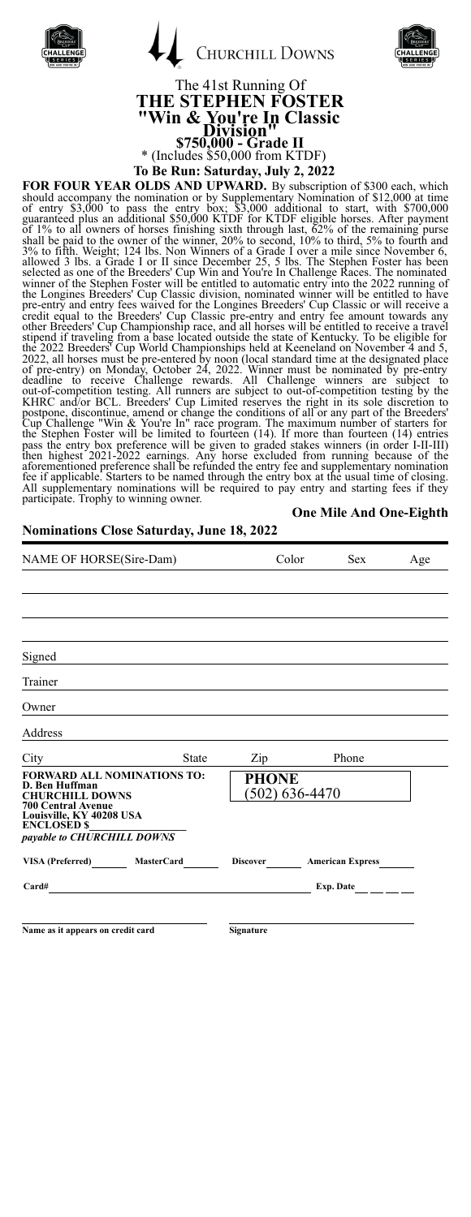|  | <b>CHURCHILL DOWNS</b> |
|--|------------------------|
|  |                        |

Í



# The 41st Running Of **THE STEPHEN FOSTER "Win & You're In Classic Division" \$750,000 - Grade II** \* (Includes \$50,000 from KTDF)

**To Be Run: Saturday, July 2, 2022**

**FOR FOLRY VEAR OLLDS AND UPWARD.** By subscription of \$300 each, which should accomany the nomination or by Supplementary Normination of \$12,000 each, which of entry \$3,000 to pass the entry box; \$3,000 additional to star All supplementary nominations will be required to pay entry and starting fees if they participate. Trophy to winning owner.

**Nominations Close Saturday, June 18, 2022**

#### **One Mile And One-Eighth**

| NAME OF HORSE(Sire-Dam)                                                                                     | Color                     | <b>Sex</b>                | Age |
|-------------------------------------------------------------------------------------------------------------|---------------------------|---------------------------|-----|
|                                                                                                             |                           |                           |     |
|                                                                                                             |                           |                           |     |
|                                                                                                             |                           |                           |     |
| Signed                                                                                                      |                           |                           |     |
| Trainer                                                                                                     |                           |                           |     |
| Owner                                                                                                       |                           |                           |     |
| Address                                                                                                     |                           |                           |     |
| State<br>$City \quad \qquad \qquad$                                                                         | $\mathbf{Zip}$            | Phone                     |     |
| <b>FORWARD ALL NOMINATIONS TO:</b><br>D. Ben Huffman<br><b>CHURCHILL DOWNS</b><br><b>700 Central Avenue</b> | PHONE<br>$(502)$ 636-4470 |                           |     |
| Louisville, KY 40208 USA<br><b>ENCLOSED \$</b><br>payable to CHURCHILL DOWNS                                |                           |                           |     |
| VISA (Preferred) MasterCard                                                                                 |                           | Discover American Express |     |
| Card#                                                                                                       |                           | Exp. Date $\_\_$          |     |
|                                                                                                             |                           |                           |     |
| Name as it appears on credit card                                                                           | Signature                 |                           |     |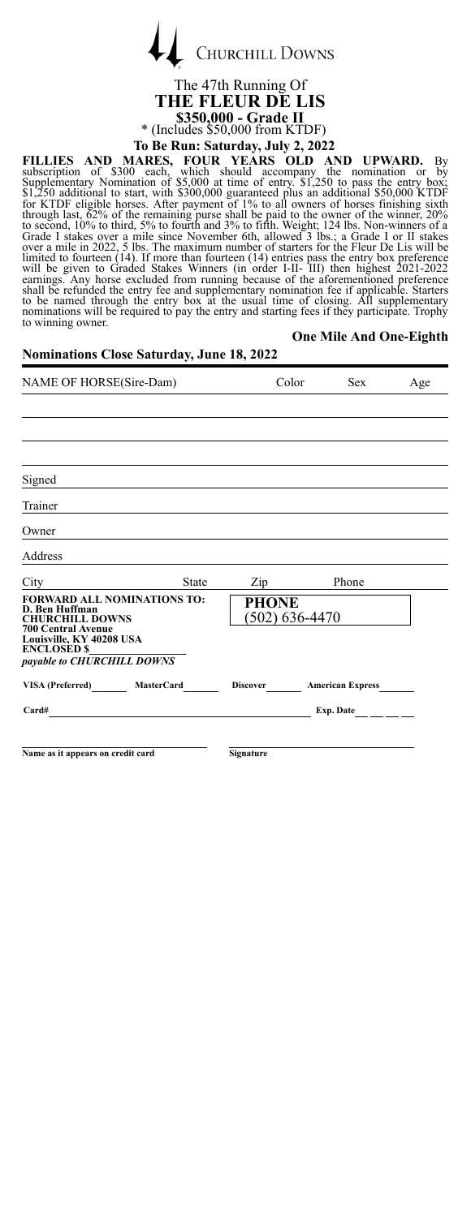

The 47th Running Of **THE FLEUR DE LIS \$350,000 - Grade II** \* (Includes \$50,000 from KTDF) **To Be Run: Saturday, July 2, 2022**

**FILLIES AND MARES, FOUR YEARS OLD AND UPWARD.** By<br>subscription of \$300 each, which should accompany the nomination or by<br>Supplementary Nomination of \$5,000 at time of entry. \$1,250 to pass the entry box;<br>\$1,250 additiona to contain the model of the matter of the state in the performance is the noninations will be required to pay the entry and starting fees if they participate. Trophy to winning owner.

**One Mile And One-Eighth**

# **Nominations Close Saturday, June 18, 2022**

| NAME OF HORSE(Sire-Dam)                                                                                                                                                                     | Color                          | <b>Sex</b>              | Age |
|---------------------------------------------------------------------------------------------------------------------------------------------------------------------------------------------|--------------------------------|-------------------------|-----|
|                                                                                                                                                                                             |                                |                         |     |
|                                                                                                                                                                                             |                                |                         |     |
|                                                                                                                                                                                             |                                |                         |     |
| Signed                                                                                                                                                                                      |                                |                         |     |
| Trainer                                                                                                                                                                                     |                                |                         |     |
| Owner                                                                                                                                                                                       |                                |                         |     |
| Address                                                                                                                                                                                     |                                |                         |     |
| City<br><b>State</b>                                                                                                                                                                        | $\mathrm{Zip}_{\_}$            | Phone                   |     |
| <b>FORWARD ALL NOMINATIONS TO:</b><br>D. Ben Huffman<br><b>CHURCHILL DOWNS</b><br><b>700 Central Avenue</b><br>Louisville, KY 40208 USA<br><b>ENCLOSED \$</b><br>payable to CHURCHILL DOWNS | <b>PHONE</b><br>(502) 636-4470 |                         |     |
| VISA (Preferred) MasterCard                                                                                                                                                                 | <b>Discover</b>                | <b>American Express</b> |     |
| Card#                                                                                                                                                                                       |                                | Exp. Date               |     |
|                                                                                                                                                                                             |                                |                         |     |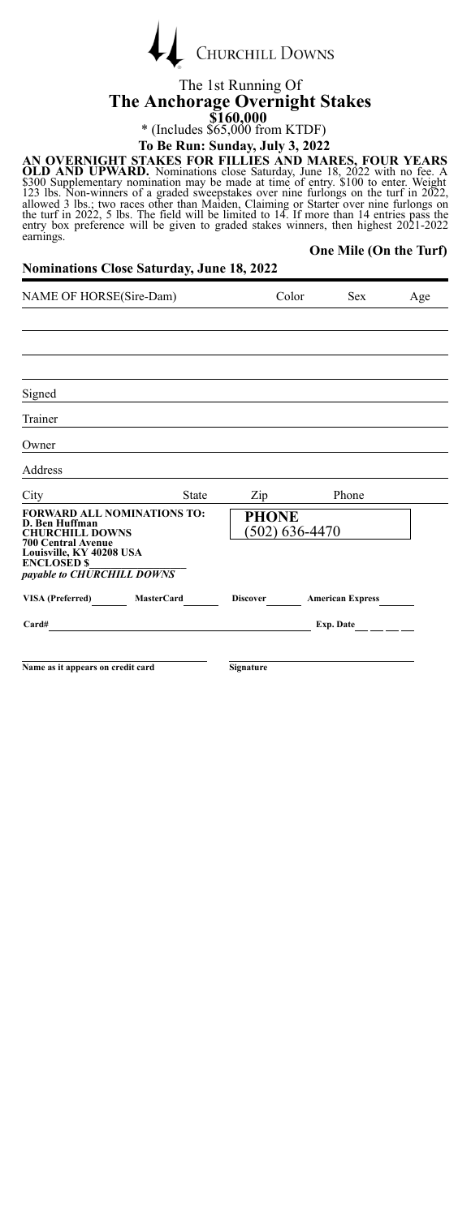|  | <b>CHURCHILL DOWNS</b> |
|--|------------------------|
|  |                        |

#### The 1st Running Of **The Anchorage Overnight Stakes \$160,000** \* (Includes \$65,000 from KTDF)

### **To Be Run: Sunday, July 3, 2022**

AN OVERNIGHT STAKES FOR FILLIES AND MARES, FOUR YEARS<br>OLD AND UPWARD. Nominations close Saturday, June 18, 2022 with no fee. A<br>\$300 Supplementary nomination may be made at time of entry. \$1000 to enter. Weight<br>123 lbs. Non **One Mile (On the Turf)**

#### **Nominations Close Saturday, June 18, 2022**

| NAME OF HORSE(Sire-Dam)                                                                                     | Color        |                                    | <b>Sex</b> | Age                          |  |
|-------------------------------------------------------------------------------------------------------------|--------------|------------------------------------|------------|------------------------------|--|
|                                                                                                             |              |                                    |            |                              |  |
|                                                                                                             |              |                                    |            |                              |  |
|                                                                                                             |              |                                    |            |                              |  |
| Signed                                                                                                      |              |                                    |            |                              |  |
| Trainer                                                                                                     |              |                                    |            |                              |  |
| Owner                                                                                                       |              |                                    |            |                              |  |
| Address                                                                                                     |              |                                    |            |                              |  |
| City                                                                                                        | <b>State</b> | Zip                                |            | Phone                        |  |
| <b>FORWARD ALL NOMINATIONS TO:</b><br>D. Ben Huffman<br><b>CHURCHILL DOWNS</b><br><b>700 Central Avenue</b> |              | <b>PHONE</b><br>$(502) 636 - 4470$ |            |                              |  |
| Louisville, KY 40208 USA<br><b>ENCLOSED \$</b><br>payable to CHURCHILL DOWNS                                |              |                                    |            |                              |  |
| VISA (Preferred)<br><b>MasterCard</b>                                                                       |              | <b>Discover</b>                    |            | <b>American Express</b>      |  |
| Card#                                                                                                       |              |                                    |            | Exp. Date $\qquad \qquad \_$ |  |
|                                                                                                             |              |                                    |            |                              |  |
| Name as it appears on credit card                                                                           |              | Signature                          |            |                              |  |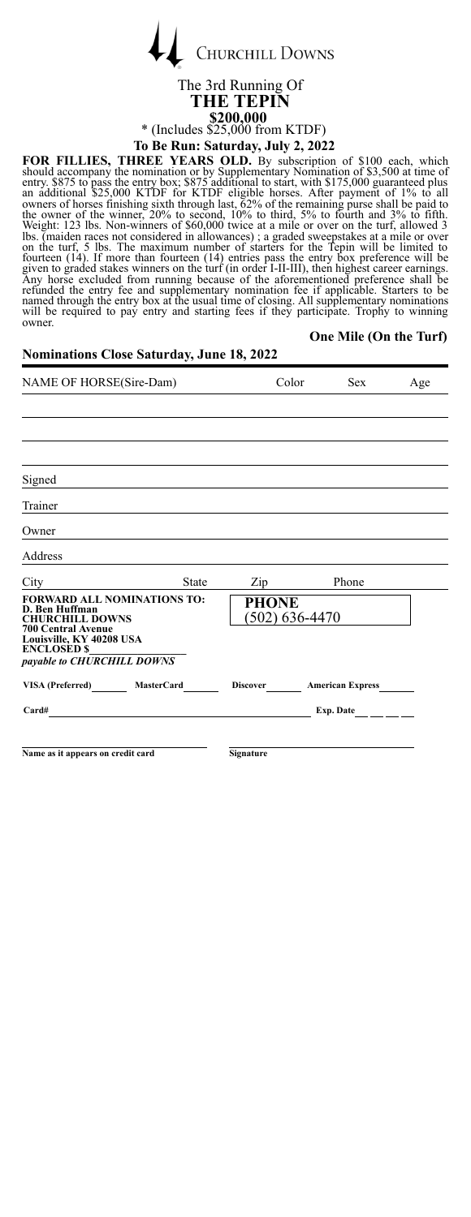| <b>CHURCHILL DOWNS</b> |
|------------------------|
|                        |

#### The 3rd Running Of **THE TEPIN \$200,000** \* (Includes  $$25,000$  from KTDF)<br>To Be Run: Saturday, July 2, 2022 **To Be Run: Saturday, July 2, 2022**

FOR FILLIES, THREE YEARS OLD. By subscription of \$100 each, which should accompany the nomiation of Symplementary Nomination for S3,500 at time of the entry s875 to pass the entry box; \$875 additional to start, with \$175,0

**One Mile (On the Turf)**

### **Nominations Close Saturday, June 18, 2022**

| NAME OF HORSE(Sire-Dam)                                                                                                                                                                     | Color                            | <b>Sex</b>              | Age |
|---------------------------------------------------------------------------------------------------------------------------------------------------------------------------------------------|----------------------------------|-------------------------|-----|
|                                                                                                                                                                                             |                                  |                         |     |
|                                                                                                                                                                                             |                                  |                         |     |
|                                                                                                                                                                                             |                                  |                         |     |
| Signed                                                                                                                                                                                      |                                  |                         |     |
| Trainer                                                                                                                                                                                     |                                  |                         |     |
| Owner                                                                                                                                                                                       |                                  |                         |     |
| Address                                                                                                                                                                                     |                                  |                         |     |
| City<br><b>State</b>                                                                                                                                                                        | Zip                              | Phone                   |     |
| <b>FORWARD ALL NOMINATIONS TO:</b><br>D. Ben Huffman<br><b>CHURCHILL DOWNS</b><br><b>700 Central Avenue</b><br>Louisville, KY 40208 USA<br><b>ENCLOSED \$</b><br>payable to CHURCHILL DOWNS | <b>PHONE</b><br>$(502)$ 636-4470 |                         |     |
| VISA (Preferred) MasterCard                                                                                                                                                                 | <b>Discover</b>                  | <b>American Express</b> |     |
| Card#                                                                                                                                                                                       |                                  | Exp. Date               |     |
|                                                                                                                                                                                             |                                  |                         |     |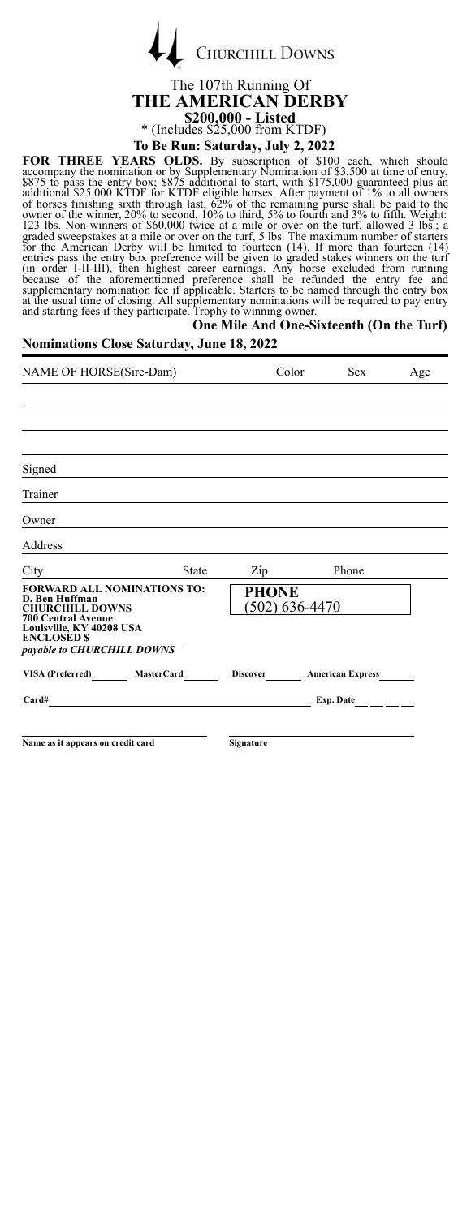|  | <b>CHURCHILL DOWNS</b> |
|--|------------------------|
|  |                        |

 $\overline{1}$ 

The 107th Running Of **THE AMERICAN DERBY \$200,000 - Listed** \* (Includes \$25,000 from KTDF) **To Be Run: Saturday, July 2, 2022**

**FOR THREE YEARS OLDS.** By subscription of \$100 each, which should accompany the nomination or by Supplementary Nomination of \$3,500 at time of entry. \$875 to pass the entry box; \$875 additional o start, with \$175,000 guar

| One Mile And One-Sixteenth (On the Turf)<br><b>Nominations Close Saturday, June 18, 2022</b>                                                                                                |              |                                |  |                           |     |
|---------------------------------------------------------------------------------------------------------------------------------------------------------------------------------------------|--------------|--------------------------------|--|---------------------------|-----|
| NAME OF HORSE(Sire-Dam)                                                                                                                                                                     |              | Color                          |  | <b>Sex</b>                | Age |
|                                                                                                                                                                                             |              |                                |  |                           |     |
| Signed                                                                                                                                                                                      |              |                                |  |                           |     |
| Trainer                                                                                                                                                                                     |              |                                |  |                           |     |
| Owner                                                                                                                                                                                       |              |                                |  |                           |     |
| Address                                                                                                                                                                                     |              |                                |  |                           |     |
| City                                                                                                                                                                                        | <b>State</b> | $\mathop{\rm Zip}\nolimits$    |  | Phone                     |     |
| <b>FORWARD ALL NOMINATIONS TO:</b><br>D. Ben Huffman<br><b>CHURCHILL DOWNS</b><br><b>700 Central Avenue</b><br>Louisville, KY 40208 USA<br><b>ENCLOSED \$</b><br>payable to CHURCHILL DOWNS |              | <b>PHONE</b><br>(502) 636-4470 |  |                           |     |
| VISA (Preferred) MasterCard                                                                                                                                                                 |              |                                |  | Discover American Express |     |
| Card#                                                                                                                                                                                       |              |                                |  | Exp. Date $\_\_$          |     |
| Name as it appears on credit card                                                                                                                                                           |              | Signature                      |  |                           |     |